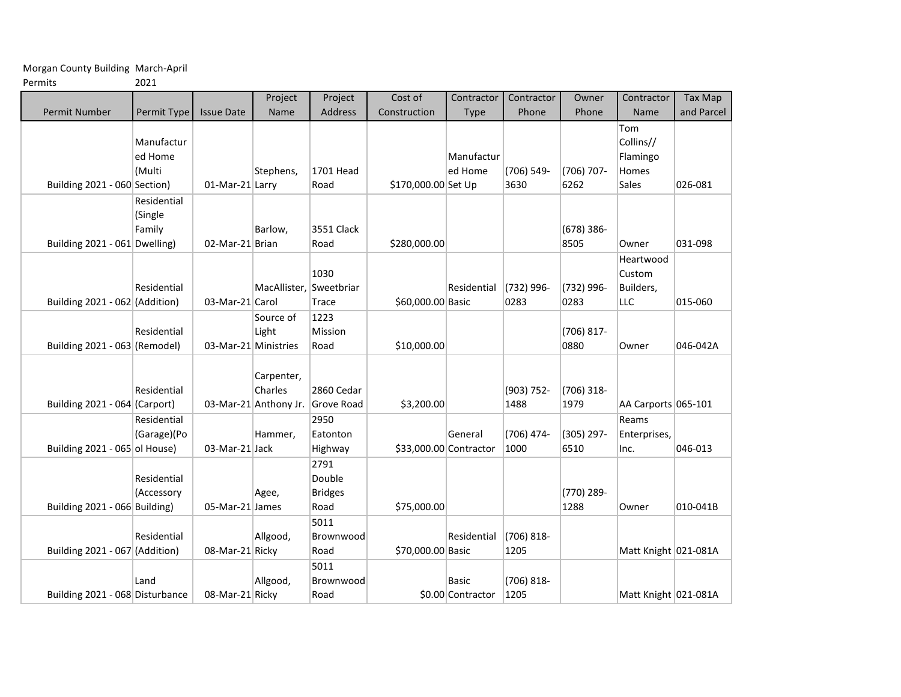Morgan County Building March-April

Permits 2021

|                                 |                                  |                      | Project                                        | Project                                  | Cost of                | Contractor                        | Contractor         | Owner              | Contractor                                     | <b>Tax Map</b> |
|---------------------------------|----------------------------------|----------------------|------------------------------------------------|------------------------------------------|------------------------|-----------------------------------|--------------------|--------------------|------------------------------------------------|----------------|
| <b>Permit Number</b>            | Permit Type                      | <b>Issue Date</b>    | Name                                           | Address                                  | Construction           | Type                              | Phone              | Phone              | Name                                           | and Parcel     |
| Building 2021 - 060 Section)    | Manufactur<br>ed Home<br>(Multi  | 01-Mar-21 Larry      | Stephens,                                      | 1701 Head<br>Road                        | \$170,000.00 Set Up    | Manufactur<br>ed Home             | (706) 549-<br>3630 | (706) 707-<br>6262 | Tom<br>Collins//<br>Flamingo<br>Homes<br>Sales | 026-081        |
|                                 | Residential<br>(Single<br>Family |                      | Barlow,                                        | 3551 Clack                               |                        |                                   |                    | (678) 386-         |                                                |                |
| Building 2021 - 061 Dwelling)   |                                  | 02-Mar-21 Brian      |                                                | Road                                     | \$280,000.00           |                                   |                    | 8505               | Owner                                          | 031-098        |
| Building 2021 - 062 (Addition)  | Residential                      | 03-Mar-21 Carol      | MacAllister, Sweetbriar                        | 1030<br>Trace                            | \$60,000.00 Basic      | Residential                       | (732) 996-<br>0283 | (732) 996-<br>0283 | Heartwood<br>Custom<br>Builders,<br><b>LLC</b> | 015-060        |
| Building 2021 - 063 (Remodel)   | Residential                      | 03-Mar-21 Ministries | Source of<br>Light                             | 1223<br>Mission<br>Road                  | \$10,000.00            |                                   |                    | (706) 817-<br>0880 | Owner                                          | 046-042A       |
| Building 2021 - 064 (Carport)   | Residential                      |                      | Carpenter,<br>Charles<br>03-Mar-21 Anthony Jr. | 2860 Cedar<br><b>Grove Road</b>          | \$3,200.00             |                                   | (903) 752-<br>1488 | (706) 318-<br>1979 | AA Carports 065-101                            |                |
| Building 2021 - 065 ol House)   | Residential<br>(Garage)(Po       | 03-Mar-21 Jack       | Hammer,                                        | 2950<br>Eatonton<br>Highway              | \$33,000.00 Contractor | General                           | (706) 474-<br>1000 | (305) 297-<br>6510 | Reams<br>Enterprises,<br>Inc.                  | 046-013        |
| Building 2021 - 066 Building)   | Residential<br>(Accessory        | 05-Mar-21 James      | Agee,                                          | 2791<br>Double<br><b>Bridges</b><br>Road | \$75,000.00            |                                   |                    | (770) 289-<br>1288 | Owner                                          | 010-041B       |
|                                 | Residential                      |                      | Allgood,                                       | 5011<br>Brownwood                        |                        | Residential                       | $(706)$ 818-       |                    |                                                |                |
| Building 2021 - 067 (Addition)  |                                  | 08-Mar-21 Ricky      |                                                | Road                                     | \$70,000.00 Basic      |                                   | 1205               |                    | Matt Knight 021-081A                           |                |
| Building 2021 - 068 Disturbance | Land                             | 08-Mar-21 Ricky      | Allgood,                                       | 5011<br>Brownwood<br>Road                |                        | <b>Basic</b><br>\$0.00 Contractor | (706) 818-<br>1205 |                    | Matt Knight 021-081A                           |                |
|                                 |                                  |                      |                                                |                                          |                        |                                   |                    |                    |                                                |                |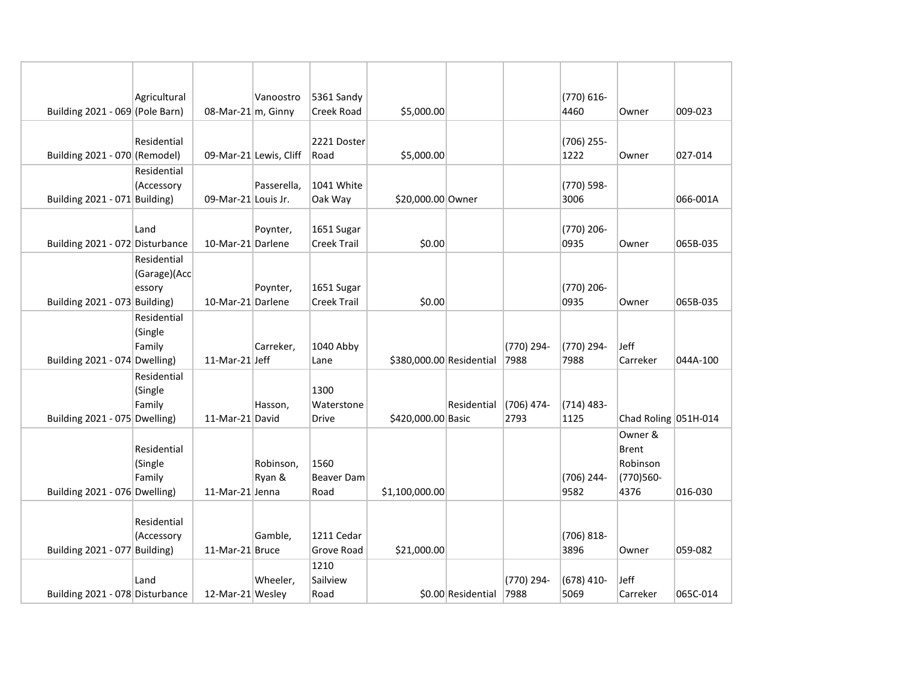|                                 | Agricultural      |                        | Vanoostro              | 5361 Sandy         |                          |                    |              | (770) 616-   |                      |          |
|---------------------------------|-------------------|------------------------|------------------------|--------------------|--------------------------|--------------------|--------------|--------------|----------------------|----------|
| Building 2021 - 069 (Pole Barn) |                   | 08-Mar-21 $ m$ , Ginny |                        | Creek Road         | \$5,000.00               |                    |              | 4460         | Owner                | 009-023  |
|                                 |                   |                        |                        |                    |                          |                    |              |              |                      |          |
|                                 | Residential       |                        |                        | 2221 Doster        |                          |                    |              | (706) 255-   |                      |          |
| Building 2021 - 070 (Remodel)   | Residential       |                        | 09-Mar-21 Lewis, Cliff | Road               | \$5,000.00               |                    |              | 1222         | Owner                | 027-014  |
|                                 | (Accessory        |                        | Passerella,            | 1041 White         |                          |                    |              | (770) 598-   |                      |          |
| Building 2021 - 071 Building)   |                   | 09-Mar-21 Louis Jr.    |                        | Oak Way            | \$20,000.00 Owner        |                    |              | 3006         |                      | 066-001A |
|                                 |                   |                        |                        |                    |                          |                    |              |              |                      |          |
|                                 | Land              |                        | Poynter,               | 1651 Sugar         |                          |                    |              | (770) 206-   |                      |          |
| Building 2021 - 072 Disturbance |                   | 10-Mar-21 Darlene      |                        | Creek Trail        | \$0.00                   |                    |              | 0935         | Owner                | 065B-035 |
|                                 | Residential       |                        |                        |                    |                          |                    |              |              |                      |          |
|                                 | (Garage)(Acc      |                        |                        |                    |                          |                    |              |              |                      |          |
|                                 | essory            |                        | Poynter,               | 1651 Sugar         |                          |                    |              | (770) 206-   |                      |          |
| Building 2021 - 073 Building)   |                   | 10-Mar-21 Darlene      |                        | <b>Creek Trail</b> | \$0.00                   |                    |              | 0935         | Owner                | 065B-035 |
|                                 | Residential       |                        |                        |                    |                          |                    |              |              |                      |          |
|                                 | (Single<br>Family |                        | Carreker,              | 1040 Abby          |                          |                    | (770) 294-   | (770) 294-   | Jeff                 |          |
| Building 2021 - 074 Dwelling)   |                   | 11-Mar-21 Jeff         |                        | Lane               | \$380,000.00 Residential |                    | 7988         | 7988         | Carreker             | 044A-100 |
|                                 | Residential       |                        |                        |                    |                          |                    |              |              |                      |          |
|                                 | (Single           |                        |                        | 1300               |                          |                    |              |              |                      |          |
|                                 | Family            |                        | Hasson,                | Waterstone         |                          | Residential        | $(706)$ 474- | $(714)$ 483- |                      |          |
| Building 2021 - 075 Dwelling)   |                   | 11-Mar-21 David        |                        | Drive              | \$420,000.00 Basic       |                    | 2793         | 1125         | Chad Roling 051H-014 |          |
|                                 |                   |                        |                        |                    |                          |                    |              |              | Owner &              |          |
|                                 | Residential       |                        |                        |                    |                          |                    |              |              | Brent                |          |
|                                 | (Single           |                        | Robinson,              | 1560               |                          |                    |              |              | Robinson             |          |
|                                 | Family            |                        | Ryan &                 | <b>Beaver Dam</b>  |                          |                    |              | (706) 244-   | (770)560-            |          |
| Building 2021 - 076 Dwelling)   |                   | 11-Mar-21 Jenna        |                        | Road               | \$1,100,000.00           |                    |              | 9582         | 4376                 | 016-030  |
|                                 | Residential       |                        |                        |                    |                          |                    |              |              |                      |          |
|                                 | (Accessory        |                        | Gamble,                | 1211 Cedar         |                          |                    |              | (706) 818-   |                      |          |
| Building 2021 - 077 Building)   |                   | 11-Mar-21 Bruce        |                        | <b>Grove Road</b>  | \$21,000.00              |                    |              | 3896         | Owner                | 059-082  |
|                                 |                   |                        |                        | 1210               |                          |                    |              |              |                      |          |
|                                 | Land              |                        | Wheeler,               | Sailview           |                          |                    | (770) 294-   | $(678)$ 410- | Jeff                 |          |
| Building 2021 - 078 Disturbance |                   | 12-Mar-21 Wesley       |                        | Road               |                          | \$0.00 Residential | 7988         | 5069         | Carreker             | 065C-014 |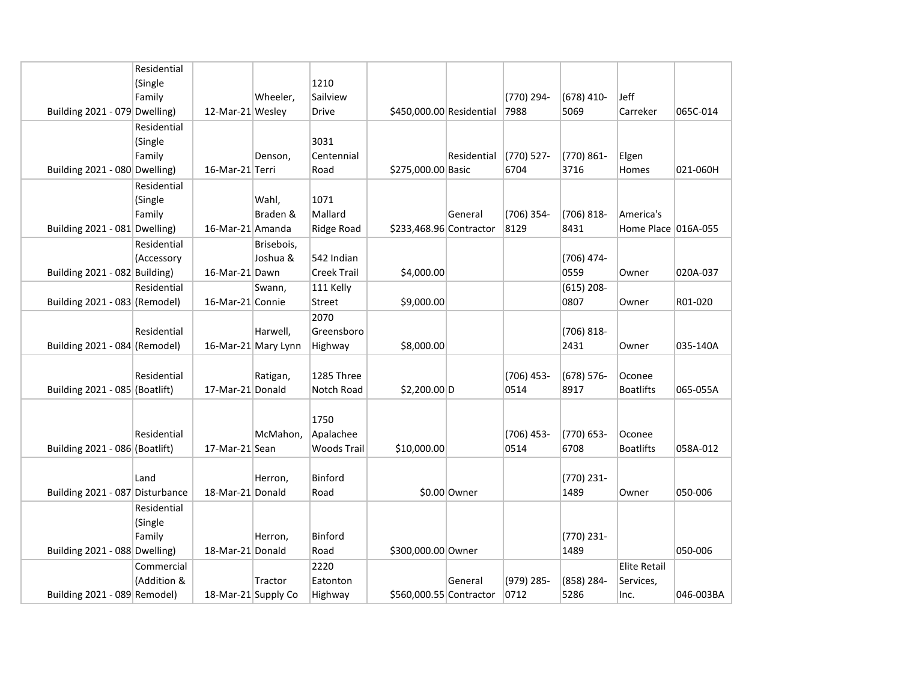|                                 | Residential |                     |                     |                    |                          |              |            |              |                     |           |
|---------------------------------|-------------|---------------------|---------------------|--------------------|--------------------------|--------------|------------|--------------|---------------------|-----------|
|                                 | (Single     |                     |                     | 1210               |                          |              |            |              |                     |           |
|                                 | Family      |                     | Wheeler,            | Sailview           |                          |              | (770) 294- | $(678)$ 410- | Jeff                |           |
| Building 2021 - 079 Dwelling)   |             | 12-Mar-21 Wesley    |                     | Drive              | \$450,000.00 Residential |              | 7988       | 5069         | Carreker            | 065C-014  |
|                                 | Residential |                     |                     |                    |                          |              |            |              |                     |           |
|                                 | (Single     |                     |                     | 3031               |                          |              |            |              |                     |           |
|                                 | Family      |                     | Denson,             | Centennial         |                          | Residential  | (770) 527- | (770) 861-   | Elgen               |           |
| Building 2021 - 080 Dwelling)   |             | 16-Mar-21 Terri     |                     | Road               | \$275,000.00 Basic       |              | 6704       | 3716         | Homes               | 021-060H  |
|                                 | Residential |                     |                     |                    |                          |              |            |              |                     |           |
|                                 | (Single     |                     | Wahl,               | 1071               |                          |              |            |              |                     |           |
|                                 | Family      |                     | Braden &            | Mallard            |                          | General      | (706) 354- | (706) 818-   | America's           |           |
| Building 2021 - 081 Dwelling)   |             | 16-Mar-21 Amanda    |                     | Ridge Road         | \$233,468.96 Contractor  |              | 8129       | 8431         | Home Place 016A-055 |           |
|                                 | Residential |                     | Brisebois,          |                    |                          |              |            |              |                     |           |
|                                 | (Accessory  |                     | Joshua &            | 542 Indian         |                          |              |            | (706) 474-   |                     |           |
| Building 2021 - 082 Building)   |             | 16-Mar-21 Dawn      |                     | <b>Creek Trail</b> | \$4,000.00               |              |            | 0559         | Owner               | 020A-037  |
|                                 | Residential |                     | Swann,              | 111 Kelly          |                          |              |            | $(615)$ 208- |                     |           |
| Building 2021 - 083 (Remodel)   |             | 16-Mar-21 Connie    |                     | <b>Street</b>      | \$9,000.00               |              |            | 0807         | Owner               | R01-020   |
|                                 |             |                     |                     | 2070               |                          |              |            |              |                     |           |
|                                 | Residential |                     | Harwell,            | Greensboro         |                          |              |            | (706) 818-   |                     |           |
| Building 2021 - 084 (Remodel)   |             |                     | 16-Mar-21 Mary Lynn | Highway            | \$8,000.00               |              |            | 2431         | Owner               | 035-140A  |
|                                 |             |                     |                     |                    |                          |              |            |              |                     |           |
|                                 | Residential |                     | Ratigan,            | 1285 Three         |                          |              | (706) 453- | (678) 576-   | Oconee              |           |
| Building 2021 - 085 (Boatlift)  |             | 17-Mar-21 Donald    |                     | Notch Road         | \$2,200.00 D             |              | 0514       | 8917         | <b>Boatlifts</b>    | 065-055A  |
|                                 |             |                     |                     |                    |                          |              |            |              |                     |           |
|                                 |             |                     |                     | 1750               |                          |              |            |              |                     |           |
|                                 | Residential |                     | McMahon,            | Apalachee          |                          |              | (706) 453- | (770) 653-   | Oconee              |           |
| Building 2021 - 086 (Boatlift)  |             | 17-Mar-21 Sean      |                     | Woods Trail        | \$10,000.00              |              | 0514       | 6708         | <b>Boatlifts</b>    | 058A-012  |
|                                 |             |                     |                     |                    |                          |              |            |              |                     |           |
|                                 | Land        |                     | Herron,             | Binford            |                          |              |            | (770) 231-   |                     |           |
| Building 2021 - 087 Disturbance |             | 18-Mar-21 Donald    |                     | Road               |                          | \$0.00 Owner |            | 1489         | Owner               | 050-006   |
|                                 | Residential |                     |                     |                    |                          |              |            |              |                     |           |
|                                 | (Single     |                     |                     |                    |                          |              |            |              |                     |           |
|                                 | Family      |                     | Herron,             | Binford            |                          |              |            | (770) 231-   |                     |           |
| Building 2021 - 088 Dwelling)   |             | 18-Mar-21 Donald    |                     | Road               | \$300,000.00 Owner       |              |            | 1489         |                     | 050-006   |
|                                 | Commercial  |                     |                     | 2220               |                          |              |            |              | <b>Elite Retail</b> |           |
|                                 | (Addition & |                     | Tractor             | Eatonton           |                          | General      | (979) 285- | (858) 284-   | Services,           |           |
| Building 2021 - 089 Remodel)    |             | 18-Mar-21 Supply Co |                     | Highway            | \$560,000.55 Contractor  |              | 0712       | 5286         | Inc.                | 046-003BA |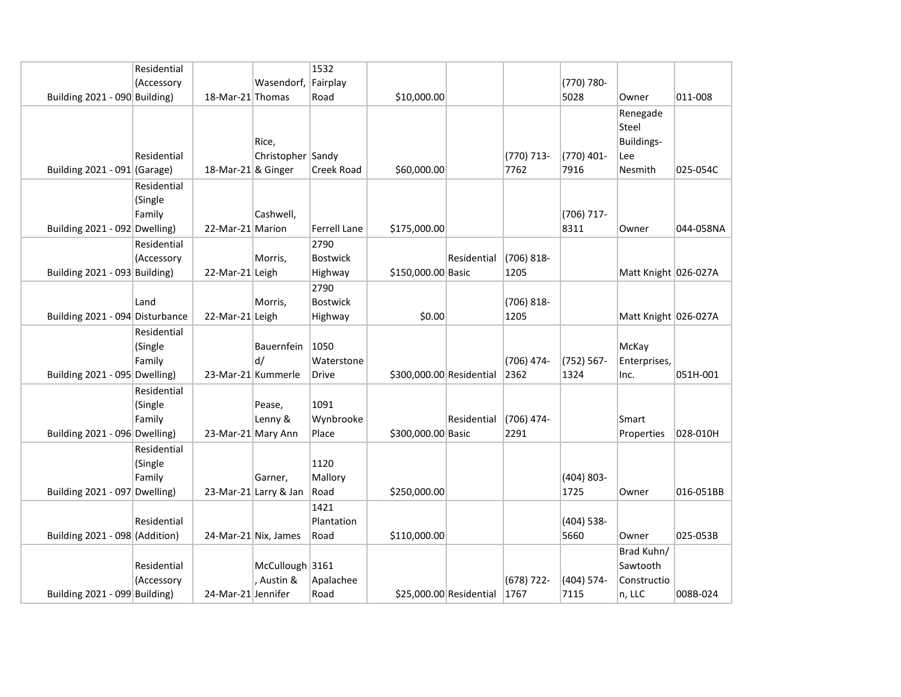|                                 | Residential                      |                      |                                  | 1532                               |                          |                         |                       |                       |                                                   |           |
|---------------------------------|----------------------------------|----------------------|----------------------------------|------------------------------------|--------------------------|-------------------------|-----------------------|-----------------------|---------------------------------------------------|-----------|
|                                 | (Accessory                       |                      | Wasendorf, Fairplay              |                                    |                          |                         |                       | (770) 780-            |                                                   |           |
| Building 2021 - 090 Building)   |                                  | 18-Mar-21 Thomas     |                                  | Road                               | \$10,000.00              |                         |                       | 5028                  | Owner                                             | 011-008   |
| Building 2021 - 091 (Garage)    | Residential                      | 18-Mar-21 & Ginger   | Rice,<br>Christopher Sandy       | Creek Road                         | \$60,000.00              |                         | (770) 713-<br>7762    | (770) 401-<br>7916    | Renegade<br>Steel<br>Buildings-<br>Lee<br>Nesmith | 025-054C  |
| Building 2021 - 092 Dwelling)   | Residential<br>(Single<br>Family | 22-Mar-21 Marion     | Cashwell,                        | <b>Ferrell Lane</b>                | \$175,000.00             |                         |                       | (706) 717-<br>8311    | Owner                                             | 044-058NA |
| Building 2021 - 093 Building)   | Residential<br>(Accessory        | 22-Mar-21 Leigh      | Morris,                          | 2790<br><b>Bostwick</b><br>Highway | \$150,000.00 Basic       | Residential             | $(706)$ 818-<br>1205  |                       | Matt Knight 026-027A                              |           |
| Building 2021 - 094 Disturbance | Land                             | 22-Mar-21 Leigh      | Morris,                          | 2790<br><b>Bostwick</b><br>Highway | \$0.00                   |                         | (706) 818-<br>1205    |                       | Matt Knight 026-027A                              |           |
| Building 2021 - 095 Dwelling)   | Residential<br>(Single<br>Family | 23-Mar-21 Kummerle   | Bauernfein<br>d/                 | 1050<br>Waterstone<br><b>Drive</b> | \$300,000.00 Residential |                         | $(706)$ 474-<br>2362  | (752) 567-<br>1324    | McKay<br>Enterprises,<br>Inc.                     | 051H-001  |
| Building 2021 - 096 Dwelling)   | Residential<br>(Single<br>Family | 23-Mar-21 Mary Ann   | Pease,<br>Lenny &                | 1091<br>Wynbrooke<br>Place         | \$300,000.00 Basic       | Residential             | (706) 474-<br>2291    |                       | Smart<br>Properties                               | 028-010H  |
| Building 2021 - 097 Dwelling)   | Residential<br>(Single<br>Family |                      | Garner,<br>23-Mar-21 Larry & Jan | 1120<br>Mallory<br>Road            | \$250,000.00             |                         |                       | $(404) 803 -$<br>1725 | Owner                                             | 016-051BB |
| Building 2021 - 098 (Addition)  | Residential                      | 24-Mar-21 Nix, James |                                  | 1421<br>Plantation<br>Road         | \$110,000.00             |                         |                       | (404) 538-<br>5660    | Owner                                             | 025-053B  |
| Building 2021 - 099 Building)   | Residential<br>(Accessory        | 24-Mar-21 Jennifer   | McCullough 3161<br>, Austin &    | Apalachee<br>Road                  |                          | \$25,000.00 Residential | $(678) 722 -$<br>1767 | (404) 574-<br>7115    | Brad Kuhn/<br>Sawtooth<br>Constructio<br>n, LLC   | 008B-024  |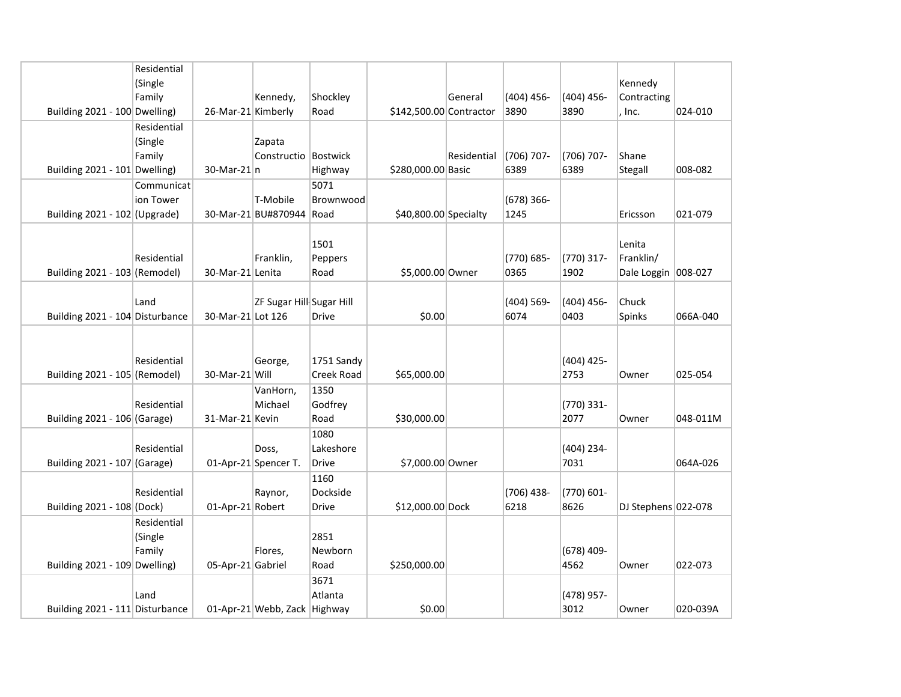|                                 | Residential |                    |                              |                   |                         |             |               |               |                     |          |
|---------------------------------|-------------|--------------------|------------------------------|-------------------|-------------------------|-------------|---------------|---------------|---------------------|----------|
|                                 | (Single     |                    |                              |                   |                         |             |               |               | Kennedy             |          |
|                                 | Family      |                    | Kennedy,                     | Shockley          |                         | General     | $(404) 456 -$ | (404) 456-    | Contracting         |          |
| Building 2021 - 100 Dwelling)   |             | 26-Mar-21 Kimberly |                              | Road              | \$142,500.00 Contractor |             | 3890          | 3890          | , Inc.              | 024-010  |
|                                 | Residential |                    |                              |                   |                         |             |               |               |                     |          |
|                                 | (Single     |                    | Zapata                       |                   |                         |             |               |               |                     |          |
|                                 | Family      |                    | Constructio Bostwick         |                   |                         | Residential | $(706)$ 707-  | (706) 707-    | Shane               |          |
| Building 2021 - 101 Dwelling)   |             | $30$ -Mar-21 $ n $ |                              | Highway           | \$280,000.00 Basic      |             | 6389          | 6389          | Stegall             | 008-082  |
|                                 | Communicat  |                    |                              | 5071              |                         |             |               |               |                     |          |
|                                 | ion Tower   |                    | T-Mobile                     | Brownwood         |                         |             | $(678)$ 366-  |               |                     |          |
| Building $2021 - 102$ (Upgrade) |             |                    | 30-Mar-21 BU#870944          | Road              | \$40,800.00 Specialty   |             | 1245          |               | Ericsson            | 021-079  |
|                                 |             |                    |                              |                   |                         |             |               |               |                     |          |
|                                 |             |                    |                              | 1501              |                         |             |               |               |                     |          |
|                                 | Residential |                    |                              |                   |                         |             | (770) 685-    |               | Lenita<br>Franklin/ |          |
|                                 |             |                    | Franklin,                    | Peppers           |                         |             |               | (770) 317-    |                     |          |
| Building 2021 - 103 (Remodel)   |             | 30-Mar-21 Lenita   |                              | Road              | \$5,000.00 Owner        |             | 0365          | 1902          | Dale Loggin 008-027 |          |
|                                 |             |                    |                              |                   |                         |             |               |               |                     |          |
|                                 | Land        |                    | ZF Sugar Hill Sugar Hill     |                   |                         |             | (404) 569-    | $(404) 456 -$ | Chuck               |          |
| Building 2021 - 104 Disturbance |             | 30-Mar-21 Lot 126  |                              | <b>Drive</b>      | \$0.00                  |             | 6074          | 0403          | Spinks              | 066A-040 |
|                                 |             |                    |                              |                   |                         |             |               |               |                     |          |
|                                 |             |                    |                              |                   |                         |             |               |               |                     |          |
|                                 | Residential |                    | George,                      | 1751 Sandy        |                         |             |               | (404) 425-    |                     |          |
| Building 2021 - 105 (Remodel)   |             | 30-Mar-21 Will     |                              | <b>Creek Road</b> | \$65,000.00             |             |               | 2753          | Owner               | 025-054  |
|                                 |             |                    | VanHorn,                     | 1350              |                         |             |               |               |                     |          |
|                                 | Residential |                    | Michael                      | Godfrey           |                         |             |               | (770) 331-    |                     |          |
| Building 2021 - 106 (Garage)    |             | 31-Mar-21 Kevin    |                              | Road              | \$30,000.00             |             |               | 2077          | Owner               | 048-011M |
|                                 |             |                    |                              | 1080              |                         |             |               |               |                     |          |
|                                 | Residential |                    | Doss,                        | Lakeshore         |                         |             |               | (404) 234-    |                     |          |
| Building 2021 - 107 (Garage)    |             |                    | 01-Apr-21 Spencer T.         | <b>Drive</b>      | \$7,000.00 Owner        |             |               | 7031          |                     | 064A-026 |
|                                 |             |                    |                              | 1160              |                         |             |               |               |                     |          |
|                                 | Residential |                    | Raynor,                      | Dockside          |                         |             | (706) 438-    | (770) 601-    |                     |          |
| Building 2021 - 108 (Dock)      |             | 01-Apr-21 Robert   |                              | Drive             | \$12,000.00 Dock        |             | 6218          | 8626          | DJ Stephens 022-078 |          |
|                                 | Residential |                    |                              |                   |                         |             |               |               |                     |          |
|                                 | (Single     |                    |                              | 2851              |                         |             |               |               |                     |          |
|                                 | Family      |                    | Flores,                      | Newborn           |                         |             |               | (678) 409-    |                     |          |
| Building 2021 - 109 Dwelling)   |             | 05-Apr-21 Gabriel  |                              | Road              | \$250,000.00            |             |               | 4562          | Owner               | 022-073  |
|                                 |             |                    |                              | 3671              |                         |             |               |               |                     |          |
|                                 | Land        |                    |                              | Atlanta           |                         |             |               |               |                     |          |
|                                 |             |                    |                              |                   |                         |             |               | (478) 957-    |                     |          |
| Building 2021 - 111 Disturbance |             |                    | 01-Apr-21 Webb, Zack Highway |                   | \$0.00                  |             |               | 3012          | Owner               | 020-039A |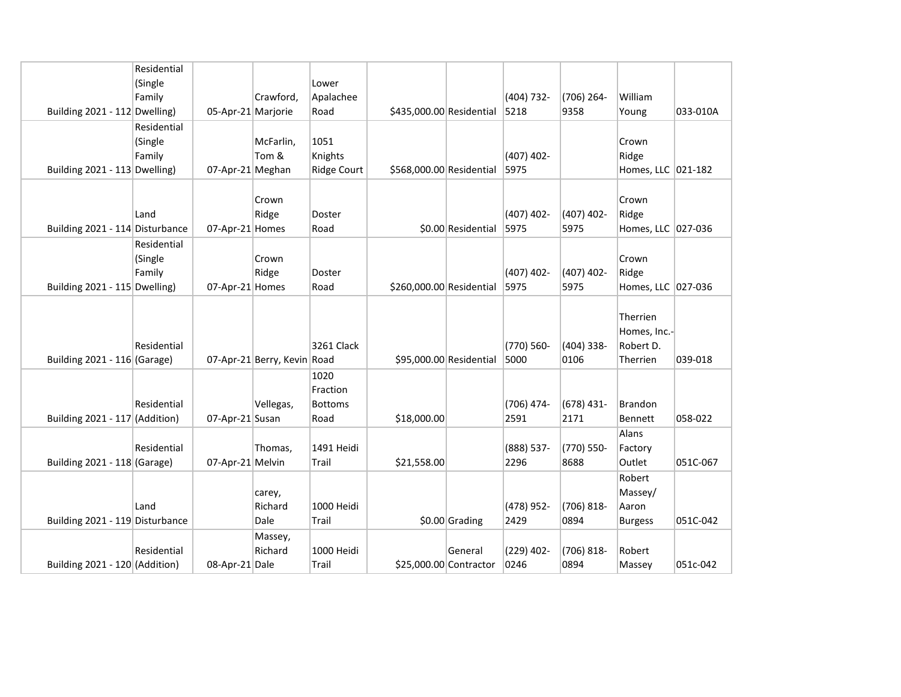|                                 | Residential |                    |                             |                    |                          |                         |              |              |                    |          |
|---------------------------------|-------------|--------------------|-----------------------------|--------------------|--------------------------|-------------------------|--------------|--------------|--------------------|----------|
|                                 | (Single     |                    |                             | Lower              |                          |                         |              |              |                    |          |
|                                 | Family      |                    | Crawford,                   | Apalachee          |                          |                         | (404) 732-   | (706) 264-   | William            |          |
| Building 2021 - 112 Dwelling)   |             | 05-Apr-21 Marjorie |                             | Road               | \$435,000.00 Residential |                         | 5218         | 9358         | Young              | 033-010A |
|                                 | Residential |                    |                             |                    |                          |                         |              |              |                    |          |
|                                 | (Single     |                    | McFarlin,                   | 1051               |                          |                         |              |              | Crown              |          |
|                                 | Family      |                    | Tom &                       | Knights            |                          |                         | $(407)$ 402- |              | Ridge              |          |
| Building 2021 - 113 Dwelling)   |             | 07-Apr-21 Meghan   |                             | <b>Ridge Court</b> | \$568,000.00 Residential |                         | 5975         |              | Homes, LLC 021-182 |          |
|                                 |             |                    |                             |                    |                          |                         |              |              |                    |          |
|                                 |             |                    | Crown                       |                    |                          |                         |              |              | Crown              |          |
|                                 | Land        |                    | Ridge                       | Doster             |                          |                         | $(407)$ 402- | $(407)$ 402- | Ridge              |          |
| Building 2021 - 114 Disturbance |             | 07-Apr-21 Homes    |                             | Road               |                          | \$0.00 Residential      | 5975         | 5975         | Homes, LLC 027-036 |          |
|                                 | Residential |                    |                             |                    |                          |                         |              |              |                    |          |
|                                 | (Single     |                    | Crown                       |                    |                          |                         |              |              | Crown              |          |
|                                 | Family      |                    | Ridge                       | Doster             |                          |                         | $(407)$ 402- | (407) 402-   | Ridge              |          |
| Building 2021 - 115 Dwelling)   |             | 07-Apr-21 Homes    |                             | Road               | \$260,000.00 Residential |                         | 5975         | 5975         | Homes, LLC 027-036 |          |
|                                 |             |                    |                             |                    |                          |                         |              |              |                    |          |
|                                 |             |                    |                             |                    |                          |                         |              |              | Therrien           |          |
|                                 |             |                    |                             |                    |                          |                         |              |              | Homes, Inc.-       |          |
|                                 | Residential |                    |                             | 3261 Clack         |                          |                         | (770) 560-   | (404) 338-   | Robert D.          |          |
| Building 2021 - 116 (Garage)    |             |                    | 07-Apr-21 Berry, Kevin Road |                    |                          | \$95,000.00 Residential | 5000         | 0106         | Therrien           | 039-018  |
|                                 |             |                    |                             | 1020               |                          |                         |              |              |                    |          |
|                                 |             |                    |                             | Fraction           |                          |                         |              |              |                    |          |
|                                 | Residential |                    | Vellegas,                   | <b>Bottoms</b>     |                          |                         | (706) 474-   | $(678)$ 431- | <b>Brandon</b>     |          |
| Building 2021 - 117 (Addition)  |             | 07-Apr-21 Susan    |                             | Road               | \$18,000.00              |                         | 2591         | 2171         | <b>Bennett</b>     | 058-022  |
|                                 |             |                    |                             |                    |                          |                         |              |              | Alans              |          |
|                                 | Residential |                    | Thomas,                     | 1491 Heidi         |                          |                         | (888) 537-   | (770) 550-   | Factory            |          |
| Building 2021 - 118 (Garage)    |             | 07-Apr-21 Melvin   |                             | Trail              | \$21,558.00              |                         | 2296         | 8688         | Outlet             | 051C-067 |
|                                 |             |                    |                             |                    |                          |                         |              |              | Robert             |          |
|                                 |             |                    | carey,                      |                    |                          |                         |              |              | Massey/            |          |
|                                 | Land        |                    | Richard                     | 1000 Heidi         |                          |                         | (478) 952-   | (706) 818-   | Aaron              |          |
| Building 2021 - 119 Disturbance |             |                    | Dale                        | Trail              |                          | $$0.00$ Grading         | 2429         | 0894         | <b>Burgess</b>     | 051C-042 |
|                                 |             |                    | Massey,                     |                    |                          |                         |              |              |                    |          |
|                                 | Residential |                    | Richard                     | 1000 Heidi         |                          | General                 | (229) 402-   | (706) 818-   | Robert             |          |
| Building 2021 - 120 (Addition)  |             | 08-Apr-21 Dale     |                             | Trail              |                          | \$25,000.00 Contractor  | 0246         | 0894         | Massey             | 051c-042 |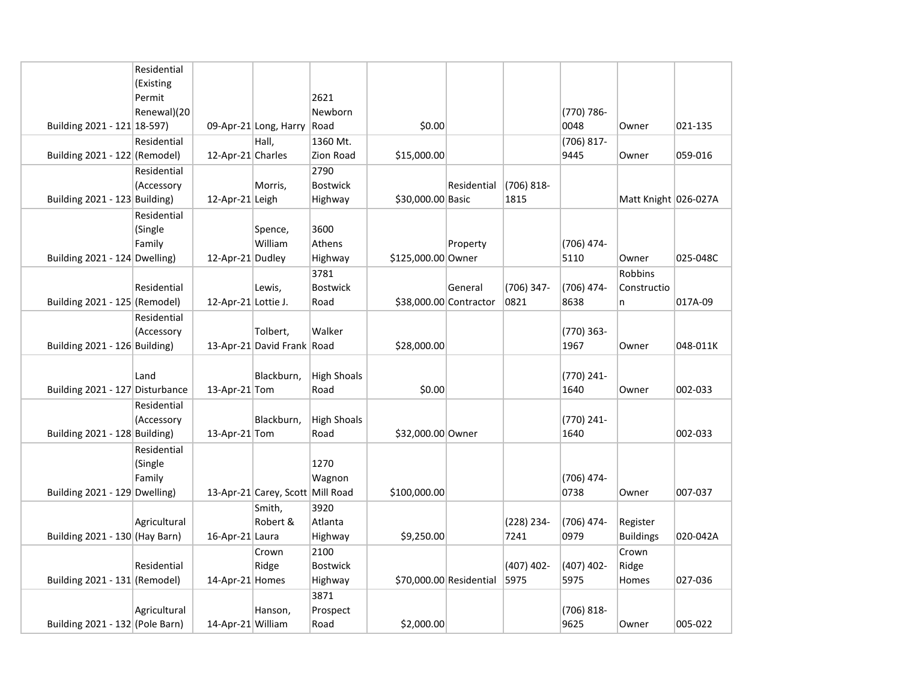|                                 | Residential  |                     |                                  |                    |                    |                         |              |            |                      |          |
|---------------------------------|--------------|---------------------|----------------------------------|--------------------|--------------------|-------------------------|--------------|------------|----------------------|----------|
|                                 | (Existing    |                     |                                  |                    |                    |                         |              |            |                      |          |
|                                 | Permit       |                     |                                  | 2621               |                    |                         |              |            |                      |          |
|                                 | Renewal)(20  |                     |                                  | Newborn            |                    |                         |              | (770) 786- |                      |          |
| Building 2021 - 121 18-597)     |              |                     | 09-Apr-21 Long, Harry            | Road               | \$0.00             |                         |              | 0048       | Owner                | 021-135  |
|                                 | Residential  |                     | Hall,                            | 1360 Mt.           |                    |                         |              | (706) 817- |                      |          |
| Building 2021 - 122 (Remodel)   |              | 12-Apr-21 Charles   |                                  | Zion Road          | \$15,000.00        |                         |              | 9445       | Owner                | 059-016  |
|                                 | Residential  |                     |                                  | 2790               |                    |                         |              |            |                      |          |
|                                 | (Accessory   |                     | Morris,                          | <b>Bostwick</b>    |                    | Residential             | $(706)$ 818- |            |                      |          |
| Building 2021 - 123 Building)   |              | 12-Apr-21 Leigh     |                                  | Highway            | \$30,000.00 Basic  |                         | 1815         |            | Matt Knight 026-027A |          |
|                                 | Residential  |                     |                                  |                    |                    |                         |              |            |                      |          |
|                                 | (Single      |                     | Spence,                          | 3600               |                    |                         |              |            |                      |          |
|                                 | Family       |                     | William                          | Athens             |                    | Property                |              | (706) 474- |                      |          |
| Building 2021 - 124 Dwelling)   |              | 12-Apr-21 Dudley    |                                  | Highway            | \$125,000.00 Owner |                         |              | 5110       | Owner                | 025-048C |
|                                 |              |                     |                                  | 3781               |                    |                         |              |            | <b>Robbins</b>       |          |
|                                 | Residential  |                     | Lewis,                           | <b>Bostwick</b>    |                    | General                 | (706) 347-   | (706) 474- | Constructio          |          |
| Building 2021 - 125 (Remodel)   |              | 12-Apr-21 Lottie J. |                                  | Road               |                    | \$38,000.00 Contractor  | 0821         | 8638       | n                    | 017A-09  |
|                                 | Residential  |                     |                                  |                    |                    |                         |              |            |                      |          |
|                                 | (Accessory   |                     | Tolbert,                         | Walker             |                    |                         |              | (770) 363- |                      |          |
| Building 2021 - 126 Building)   |              |                     | 13-Apr-21 David Frank Road       |                    | \$28,000.00        |                         |              | 1967       | Owner                | 048-011K |
|                                 |              |                     |                                  |                    |                    |                         |              |            |                      |          |
|                                 | Land         |                     | Blackburn,                       | <b>High Shoals</b> |                    |                         |              | (770) 241- |                      |          |
| Building 2021 - 127 Disturbance |              | 13-Apr-21 Tom       |                                  | Road               | \$0.00             |                         |              | 1640       | Owner                | 002-033  |
|                                 | Residential  |                     |                                  |                    |                    |                         |              |            |                      |          |
|                                 | (Accessory   |                     | Blackburn,                       | <b>High Shoals</b> |                    |                         |              | (770) 241- |                      |          |
| Building 2021 - 128 Building)   |              | 13-Apr-21 Tom       |                                  | Road               | \$32,000.00 Owner  |                         |              | 1640       |                      | 002-033  |
|                                 | Residential  |                     |                                  |                    |                    |                         |              |            |                      |          |
|                                 | (Single      |                     |                                  | 1270               |                    |                         |              |            |                      |          |
|                                 | Family       |                     |                                  | Wagnon             |                    |                         |              | (706) 474- |                      |          |
| Building 2021 - 129 Dwelling)   |              |                     | 13-Apr-21 Carey, Scott Mill Road |                    | \$100,000.00       |                         |              | 0738       | Owner                | 007-037  |
|                                 |              |                     | Smith,                           | 3920               |                    |                         |              |            |                      |          |
|                                 | Agricultural |                     | Robert &                         | Atlanta            |                    |                         | (228) 234-   | (706) 474- | Register             |          |
| Building 2021 - 130 (Hay Barn)  |              | 16-Apr-21 Laura     |                                  | Highway            | \$9,250.00         |                         | 7241         | 0979       | <b>Buildings</b>     | 020-042A |
|                                 |              |                     | Crown                            | 2100               |                    |                         |              |            | Crown                |          |
|                                 | Residential  |                     | Ridge                            | <b>Bostwick</b>    |                    |                         | $(407)$ 402- | (407) 402- | Ridge                |          |
| Building $2021 - 131$ (Remodel) |              | 14-Apr-21 Homes     |                                  | Highway            |                    | \$70,000.00 Residential | 5975         | 5975       | Homes                | 027-036  |
|                                 |              |                     |                                  | 3871               |                    |                         |              |            |                      |          |
|                                 | Agricultural |                     | Hanson,                          | Prospect           |                    |                         |              | (706) 818- |                      |          |
| Building 2021 - 132 (Pole Barn) |              | 14-Apr-21 William   |                                  | Road               | \$2,000.00         |                         |              | 9625       | Owner                | 005-022  |
|                                 |              |                     |                                  |                    |                    |                         |              |            |                      |          |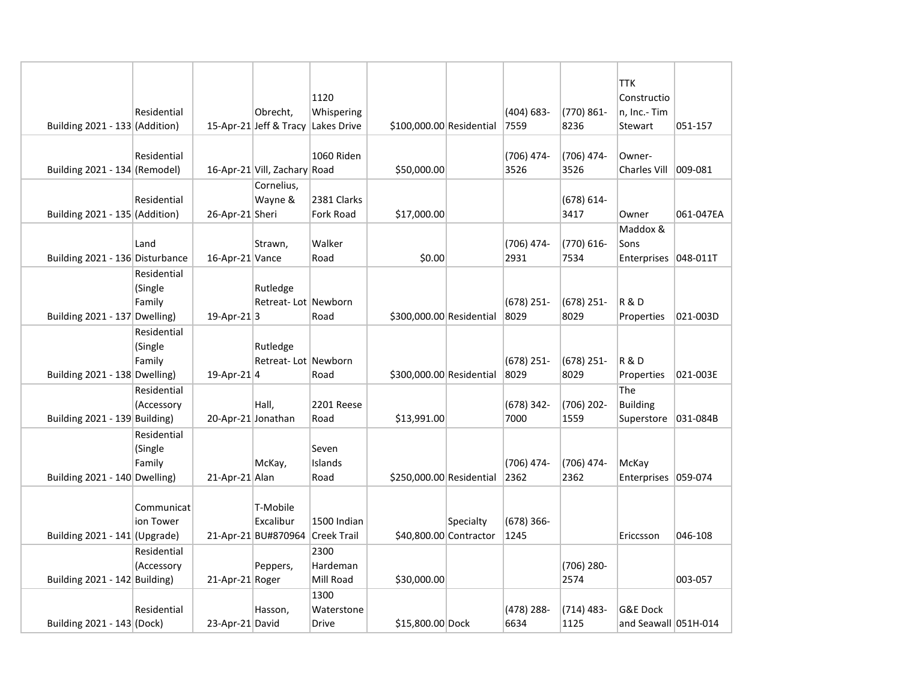| Building 2021 - 133 (Addition)  | Residential                      |                    | Obrecht,<br>15-Apr-21 Jeff & Tracy           | 1120<br>Whispering<br>Lakes Drive  | \$100,000.00 Residential |           | $(404) 683 -$<br>7559 | (770) 861-<br>8236   | <b>TTK</b><br>Constructio<br>n, Inc.- Tim<br>Stewart | 051-157    |
|---------------------------------|----------------------------------|--------------------|----------------------------------------------|------------------------------------|--------------------------|-----------|-----------------------|----------------------|------------------------------------------------------|------------|
| Building 2021 - 134 (Remodel)   | Residential                      |                    | 16-Apr-21 Vill, Zachary Road                 | 1060 Riden                         | \$50,000.00              |           | (706) 474-<br>3526    | (706) 474-<br>3526   | Owner-<br><b>Charles Vill</b>                        | 009-081    |
| Building 2021 - 135 (Addition)  | Residential                      | 26-Apr-21 Sheri    | Cornelius,<br>Wayne &                        | 2381 Clarks<br><b>Fork Road</b>    | \$17,000.00              |           |                       | (678) 614-<br>3417   | Owner                                                | 061-047EA  |
| Building 2021 - 136 Disturbance | Land                             | 16-Apr-21 Vance    | Strawn,                                      | Walker<br>Road                     | \$0.00                   |           | (706) 474-<br>2931    | (770) 616-<br>7534   | Maddox &<br>Sons<br>Enterprises                      | 048-011T   |
| Building 2021 - 137 Dwelling)   | Residential<br>(Single<br>Family | 19-Apr-21 $ 3$     | Rutledge<br>Retreat-Lot Newborn              | Road                               | \$300,000.00 Residential |           | $(678)$ 251-<br>8029  | $(678)$ 251-<br>8029 | <b>R&amp;D</b><br>Properties                         | 021-003D   |
| Building 2021 - 138 Dwelling)   | Residential<br>(Single<br>Family | 19-Apr-21 $ 4$     | Rutledge<br>Retreat-Lot Newborn              | Road                               | \$300,000.00 Residential |           | $(678)$ 251-<br>8029  | $(678)$ 251-<br>8029 | <b>R&amp;D</b><br>Properties                         | 021-003E   |
| Building 2021 - 139 Building)   | Residential<br>(Accessory        | 20-Apr-21 Jonathan | Hall,                                        | <b>2201 Reese</b><br>Road          | \$13,991.00              |           | $(678)$ 342-<br>7000  | (706) 202-<br>1559   | The<br><b>Building</b><br>Superstore                 | 031-084B   |
| Building 2021 - 140 Dwelling)   | Residential<br>(Single<br>Family | 21-Apr-21 Alan     | McKay,                                       | Seven<br>Islands<br>Road           | \$250,000.00 Residential |           | (706) 474-<br>2362    | (706) 474-<br>2362   | McKay<br>Enterprises                                 | $ 059-074$ |
| Building 2021 - 141 (Upgrade)   | Communicat<br>ion Tower          |                    | T-Mobile<br>Excalibur<br>21-Apr-21 BU#870964 | 1500 Indian<br><b>Creek Trail</b>  | \$40,800.00 Contractor   | Specialty | $(678)$ 366-<br>1245  |                      | Ericcsson                                            | 046-108    |
| Building $2021 - 142$ Building) | Residential<br>(Accessory        | 21-Apr-21 Roger    | Peppers,                                     | 2300<br>Hardeman<br>Mill Road      | \$30,000.00              |           |                       | (706) 280-<br>2574   |                                                      | 003-057    |
| Building 2021 - 143 (Dock)      | Residential                      | 23-Apr-21 David    | Hasson,                                      | 1300<br>Waterstone<br><b>Drive</b> | \$15,800.00 Dock         |           | (478) 288-<br>6634    | $(714)$ 483-<br>1125 | <b>G&amp;E Dock</b><br>and Seawall 051H-014          |            |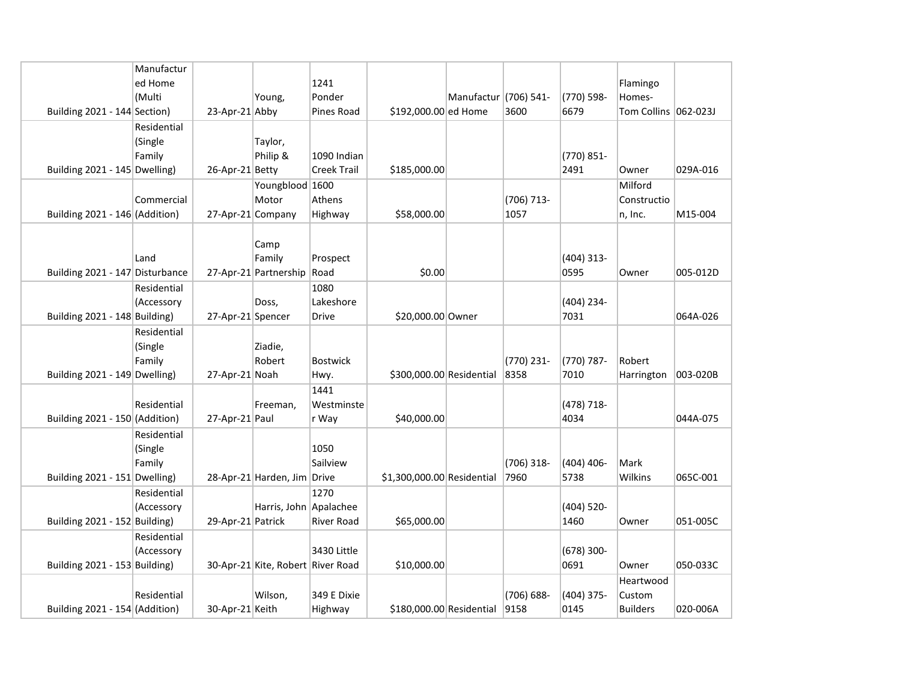|                                 | Manufactur  |                   |                                   |                    |                            |                       |            |              |                        |          |
|---------------------------------|-------------|-------------------|-----------------------------------|--------------------|----------------------------|-----------------------|------------|--------------|------------------------|----------|
|                                 | ed Home     |                   |                                   | 1241               |                            |                       |            |              | Flamingo               |          |
|                                 | (Multi      |                   | Young,                            | Ponder             |                            | Manufactur (706) 541- |            | (770) 598-   | Homes-                 |          |
| Building 2021 - 144 Section)    |             | 23-Apr-21 Abby    |                                   | Pines Road         | \$192,000.00 ed Home       |                       | 3600       | 6679         | Tom Collins   062-023J |          |
|                                 | Residential |                   |                                   |                    |                            |                       |            |              |                        |          |
|                                 | (Single     |                   | Taylor,                           |                    |                            |                       |            |              |                        |          |
|                                 | Family      |                   | Philip &                          | 1090 Indian        |                            |                       |            | (770) 851-   |                        |          |
| Building 2021 - 145 Dwelling)   |             | 26-Apr-21 Betty   |                                   | <b>Creek Trail</b> | \$185,000.00               |                       |            | 2491         | Owner                  | 029A-016 |
|                                 |             |                   | Youngblood 1600                   |                    |                            |                       |            |              | Milford                |          |
|                                 | Commercial  |                   | Motor                             | Athens             |                            |                       | (706) 713- |              | Constructio            |          |
| Building 2021 - 146 (Addition)  |             | 27-Apr-21 Company |                                   | Highway            | \$58,000.00                |                       | 1057       |              | n, Inc.                | M15-004  |
|                                 |             |                   |                                   |                    |                            |                       |            |              |                        |          |
|                                 |             |                   | Camp                              |                    |                            |                       |            |              |                        |          |
|                                 | Land        |                   | Family                            | Prospect           |                            |                       |            | $(404)$ 313- |                        |          |
| Building 2021 - 147 Disturbance |             |                   | 27-Apr-21 Partnership             | Road               | \$0.00                     |                       |            | 0595         | Owner                  | 005-012D |
|                                 | Residential |                   |                                   | 1080               |                            |                       |            |              |                        |          |
|                                 | (Accessory  |                   | Doss,                             | Lakeshore          |                            |                       |            | (404) 234-   |                        |          |
| Building 2021 - 148 Building)   |             | 27-Apr-21 Spencer |                                   | <b>Drive</b>       | \$20,000.00 Owner          |                       |            | 7031         |                        | 064A-026 |
|                                 | Residential |                   |                                   |                    |                            |                       |            |              |                        |          |
|                                 | (Single     |                   | Ziadie,                           |                    |                            |                       |            |              |                        |          |
|                                 | Family      |                   | Robert                            | <b>Bostwick</b>    |                            |                       | (770) 231- | (770) 787-   | Robert                 |          |
| Building 2021 - 149 Dwelling)   |             | 27-Apr-21 Noah    |                                   | Hwy.               | \$300,000.00 Residential   |                       | 8358       | 7010         | Harrington             | 003-020B |
|                                 |             |                   |                                   | 1441               |                            |                       |            |              |                        |          |
|                                 | Residential |                   | Freeman,                          | Westminste         |                            |                       |            | (478) 718-   |                        |          |
| Building 2021 - 150 (Addition)  |             | 27-Apr-21 Paul    |                                   | r Way              | \$40,000.00                |                       |            | 4034         |                        | 044A-075 |
|                                 | Residential |                   |                                   |                    |                            |                       |            |              |                        |          |
|                                 | (Single     |                   |                                   | 1050               |                            |                       |            |              |                        |          |
|                                 | Family      |                   |                                   | Sailview           |                            |                       | (706) 318- | $(404)$ 406- | Mark                   |          |
| Building 2021 - 151 Dwelling)   |             |                   | 28-Apr-21 Harden, Jim Drive       |                    | \$1,300,000.00 Residential |                       | 7960       | 5738         | Wilkins                | 065C-001 |
|                                 | Residential |                   |                                   | 1270               |                            |                       |            |              |                        |          |
|                                 | (Accessory  |                   | Harris, John Apalachee            |                    |                            |                       |            | (404) 520-   |                        |          |
| Building 2021 - 152 Building)   |             | 29-Apr-21 Patrick |                                   | <b>River Road</b>  | \$65,000.00                |                       |            | 1460         | Owner                  | 051-005C |
|                                 | Residential |                   |                                   |                    |                            |                       |            |              |                        |          |
|                                 | (Accessory  |                   |                                   | 3430 Little        |                            |                       |            | $(678)$ 300- |                        |          |
| Building 2021 - 153 Building)   |             |                   | 30-Apr-21 Kite, Robert River Road |                    | \$10,000.00                |                       |            | 0691         | Owner                  | 050-033C |
|                                 |             |                   |                                   |                    |                            |                       |            |              | Heartwood              |          |
|                                 | Residential |                   | Wilson,                           | 349 E Dixie        |                            |                       | (706) 688- | (404) 375-   | Custom                 |          |
| Building 2021 - 154 (Addition)  |             | 30-Apr-21 Keith   |                                   | Highway            | \$180,000.00 Residential   |                       | 9158       | 0145         | <b>Builders</b>        | 020-006A |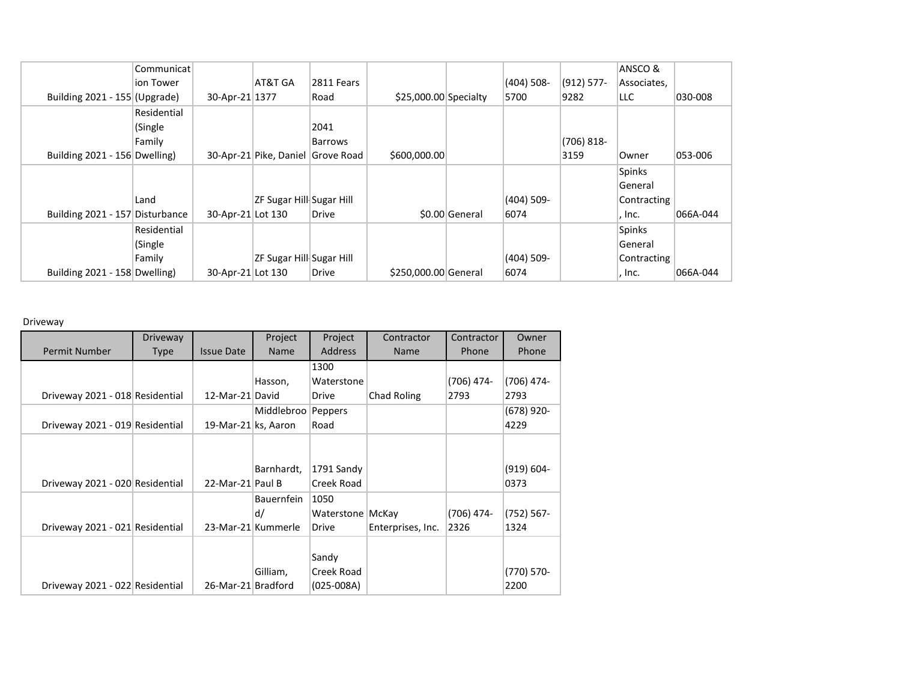|                                 | Communicat  |                   |                                   |              |                        |                |              |               | ANSCO &      |          |
|---------------------------------|-------------|-------------------|-----------------------------------|--------------|------------------------|----------------|--------------|---------------|--------------|----------|
|                                 | ion Tower   |                   | AT&T GA                           | 2811 Fears   |                        |                | $(404)$ 508- | $(912) 577 -$ | Associates,  |          |
| Building 2021 - 155 (Upgrade)   |             | 30-Apr-21 1377    |                                   | Road         | $$25,000.00$ Specialty |                | 5700         | 9282          | LLC.         | 030-008  |
|                                 | Residential |                   |                                   |              |                        |                |              |               |              |          |
|                                 | (Single     |                   |                                   | 2041         |                        |                |              |               |              |          |
|                                 | Family      |                   |                                   | Barrows      |                        |                |              | (706) 818-    |              |          |
| Building 2021 - 156 Dwelling)   |             |                   | 30-Apr-21 Pike, Daniel Grove Road |              | \$600,000.00           |                |              | 3159          | <b>Owner</b> | 053-006  |
|                                 |             |                   |                                   |              |                        |                |              |               | Spinks       |          |
|                                 |             |                   |                                   |              |                        |                |              |               | General      |          |
|                                 | Land        |                   | ZF Sugar Hill Sugar Hill          |              |                        |                | (404) 509-   |               | Contracting  |          |
| Building 2021 - 157 Disturbance |             | 30-Apr-21 Lot 130 |                                   | <b>Drive</b> |                        | \$0.00 General | 6074         |               | . Inc.       | 066A-044 |
|                                 | Residential |                   |                                   |              |                        |                |              |               | Spinks       |          |
|                                 | (Single)    |                   |                                   |              |                        |                |              |               | General      |          |
|                                 | Family      |                   | ZF Sugar Hill Sugar Hill          |              |                        |                | (404) 509-   |               | Contracting  |          |
| Building 2021 - 158 Dwelling)   |             | 30-Apr-21 Lot 130 |                                   | Drive        | \$250,000.00 General   |                | 6074         |               | , Inc.       | 066A-044 |

Driveway

|                                 | <b>Driveway</b> |                     | Project            | Project          | Contractor        | Contractor | Owner      |
|---------------------------------|-----------------|---------------------|--------------------|------------------|-------------------|------------|------------|
| Permit Number                   | Type            | <b>Issue Date</b>   | <b>Name</b>        | <b>Address</b>   | <b>Name</b>       | Phone      | Phone      |
|                                 |                 |                     |                    | 1300             |                   |            |            |
|                                 |                 |                     | Hasson,            | Waterstone       |                   | (706) 474- | (706) 474- |
| Driveway 2021 - 018 Residential |                 | 12-Mar-21 David     |                    | Drive            | Chad Roling       | 2793       | 2793       |
|                                 |                 |                     | Middlebroo         | Peppers          |                   |            | (678) 920- |
| Driveway 2021 - 019 Residential |                 | 19-Mar-21 ks, Aaron |                    | Road             |                   |            | 4229       |
|                                 |                 |                     |                    |                  |                   |            |            |
|                                 |                 |                     |                    |                  |                   |            |            |
|                                 |                 |                     | Barnhardt,         | 1791 Sandy       |                   |            | (919) 604- |
| Driveway 2021 - 020 Residential |                 | 22-Mar-21 Paul B    |                    | Creek Road       |                   |            | 0373       |
|                                 |                 |                     | <b>Bauernfein</b>  | 1050             |                   |            |            |
|                                 |                 |                     | d/                 | Waterstone McKay |                   | (706) 474- | (752) 567- |
| Driveway 2021 - 021 Residential |                 |                     | 23-Mar-21 Kummerle | Drive            | Enterprises, Inc. | 2326       | 1324       |
|                                 |                 |                     |                    |                  |                   |            |            |
|                                 |                 |                     |                    | Sandy            |                   |            |            |
|                                 |                 |                     | Gilliam,           | Creek Road       |                   |            | (770) 570- |
| Driveway 2021 - 022 Residential |                 | 26-Mar-21 Bradford  |                    | $(025-008A)$     |                   |            | 2200       |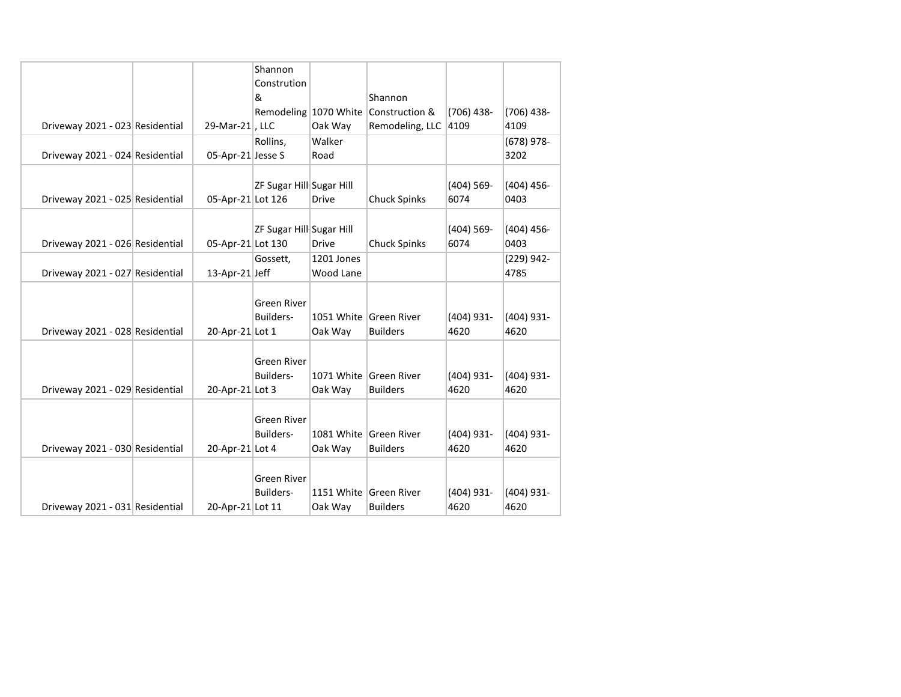|                                 |                   | Shannon                  |              |                        |               |              |
|---------------------------------|-------------------|--------------------------|--------------|------------------------|---------------|--------------|
|                                 |                   | Constrution              |              |                        |               |              |
|                                 |                   | &                        |              | Shannon                |               |              |
|                                 |                   | Remodeling 1070 White    |              | Construction &         | $(706)$ 438-  | $(706)$ 438- |
| Driveway 2021 - 023 Residential | 29-Mar-21, LLC    |                          | Oak Way      | Remodeling, LLC 4109   |               | 4109         |
|                                 |                   | Rollins,                 | Walker       |                        |               | $(678)$ 978- |
| Driveway 2021 - 024 Residential | 05-Apr-21 Jesse S |                          | Road         |                        |               | 3202         |
|                                 |                   |                          |              |                        |               |              |
|                                 |                   | ZF Sugar Hill Sugar Hill |              |                        | $(404) 569 -$ | $(404)$ 456- |
| Driveway 2021 - 025 Residential | 05-Apr-21 Lot 126 |                          | <b>Drive</b> | <b>Chuck Spinks</b>    | 6074          | 0403         |
|                                 |                   |                          |              |                        |               |              |
|                                 |                   | ZF Sugar Hill Sugar Hill |              |                        | $(404)$ 569-  | $(404)$ 456- |
| Driveway 2021 - 026 Residential | 05-Apr-21 Lot 130 |                          | <b>Drive</b> | <b>Chuck Spinks</b>    | 6074          | 0403         |
|                                 |                   | Gossett,                 | 1201 Jones   |                        |               | (229) 942-   |
| Driveway 2021 - 027 Residential | 13-Apr-21 Jeff    |                          | Wood Lane    |                        |               | 4785         |
|                                 |                   |                          |              |                        |               |              |
|                                 |                   | <b>Green River</b>       |              |                        |               |              |
|                                 |                   | Builders-                |              | 1051 White Green River | $(404)$ 931-  | (404) 931-   |
| Driveway 2021 - 028 Residential | 20-Apr-21 Lot 1   |                          | Oak Way      | <b>Builders</b>        | 4620          | 4620         |
|                                 |                   |                          |              |                        |               |              |
|                                 |                   | <b>Green River</b>       |              |                        |               |              |
|                                 |                   | Builders-                |              | 1071 White Green River | $(404)$ 931-  | $(404)$ 931- |
| Driveway 2021 - 029 Residential | 20-Apr-21 Lot 3   |                          | Oak Way      | <b>Builders</b>        | 4620          | 4620         |
|                                 |                   |                          |              |                        |               |              |
|                                 |                   | <b>Green River</b>       |              |                        |               |              |
|                                 |                   | Builders-                |              | 1081 White Green River | $(404)$ 931-  | (404) 931-   |
| Driveway 2021 - 030 Residential | 20-Apr-21 Lot 4   |                          | Oak Way      | <b>Builders</b>        | 4620          | 4620         |
|                                 |                   |                          |              |                        |               |              |
|                                 |                   | <b>Green River</b>       |              |                        |               |              |
|                                 |                   | Builders-                |              | 1151 White Green River | (404) 931-    | (404) 931-   |
| Driveway 2021 - 031 Residential | 20-Apr-21 Lot 11  |                          | Oak Way      | <b>Builders</b>        | 4620          | 4620         |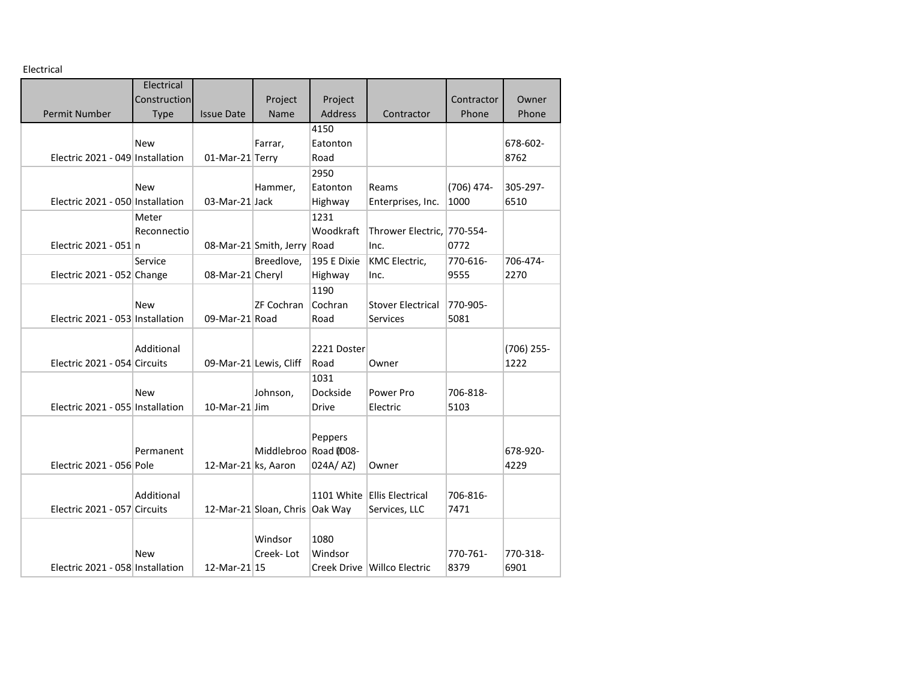Electrical

| LICULIUAI                        |              |                     |                                |              |                             |            |            |
|----------------------------------|--------------|---------------------|--------------------------------|--------------|-----------------------------|------------|------------|
|                                  | Electrical   |                     |                                |              |                             |            |            |
|                                  | Construction |                     | Project                        | Project      |                             | Contractor | Owner      |
| <b>Permit Number</b>             | Type         | <b>Issue Date</b>   | Name                           | Address      | Contractor                  | Phone      | Phone      |
|                                  |              |                     |                                | 4150         |                             |            |            |
|                                  | <b>New</b>   |                     | Farrar,                        | Eatonton     |                             |            | 678-602-   |
| Electric 2021 - 049 Installation |              | 01-Mar-21 Terry     |                                | Road         |                             |            | 8762       |
|                                  |              |                     |                                | 2950         |                             |            |            |
|                                  | <b>New</b>   |                     | Hammer,                        | Eatonton     | Reams                       | (706) 474- | 305-297-   |
| Electric 2021 - 050 Installation |              | 03-Mar-21 Jack      |                                | Highway      | Enterprises, Inc.           | 1000       | 6510       |
|                                  | Meter        |                     |                                | 1231         |                             |            |            |
|                                  | Reconnectio  |                     |                                | Woodkraft    | Thrower Electric, 770-554-  |            |            |
| Electric 2021 - 051 n            |              |                     | 08-Mar-21 Smith, Jerry Road    |              | Inc.                        | 0772       |            |
|                                  | Service      |                     | Breedlove,                     | 195 E Dixie  | KMC Electric,               | 770-616-   | 706-474-   |
| Electric 2021 - 052 Change       |              | 08-Mar-21 Cheryl    |                                | Highway      | Inc.                        | 9555       | 2270       |
|                                  |              |                     |                                | 1190         |                             |            |            |
|                                  | <b>New</b>   |                     | ZF Cochran                     | Cochran      | <b>Stover Electrical</b>    | 770-905-   |            |
| Electric 2021 - 053 Installation |              | 09-Mar-21 Road      |                                | Road         | <b>Services</b>             | 5081       |            |
|                                  |              |                     |                                |              |                             |            |            |
|                                  | Additional   |                     |                                | 2221 Doster  |                             |            | (706) 255- |
| Electric 2021 - 054 Circuits     |              |                     | 09-Mar-21 Lewis, Cliff         | Road         | Owner                       |            | 1222       |
|                                  |              |                     |                                | 1031         |                             |            |            |
|                                  | <b>New</b>   |                     | Johnson,                       | Dockside     | Power Pro                   | 706-818-   |            |
| Electric 2021 - 055 Installation |              | $10$ -Mar-21 Jim    |                                | <b>Drive</b> | Electric                    | 5103       |            |
|                                  |              |                     |                                |              |                             |            |            |
|                                  |              |                     |                                | Peppers      |                             |            |            |
|                                  | Permanent    |                     | Middlebroo                     | Road @008-   |                             |            | 678-920-   |
| Electric 2021 - 056 Pole         |              | 12-Mar-21 ks, Aaron |                                | 024A/AZ)     | Owner                       |            | 4229       |
|                                  |              |                     |                                |              |                             |            |            |
|                                  | Additional   |                     |                                |              | 1101 White Ellis Electrical | 706-816-   |            |
| Electric 2021 - 057 Circuits     |              |                     | 12-Mar-21 Sloan, Chris Oak Way |              | Services, LLC               | 7471       |            |
|                                  |              |                     |                                |              |                             |            |            |
|                                  |              |                     | Windsor                        | 1080         |                             |            |            |
|                                  | <b>New</b>   |                     | Creek-Lot                      | Windsor      |                             | 770-761-   | 770-318-   |
| Electric 2021 - 058 Installation |              | 12-Mar-21 15        |                                |              | Creek Drive Willco Electric | 8379       | 6901       |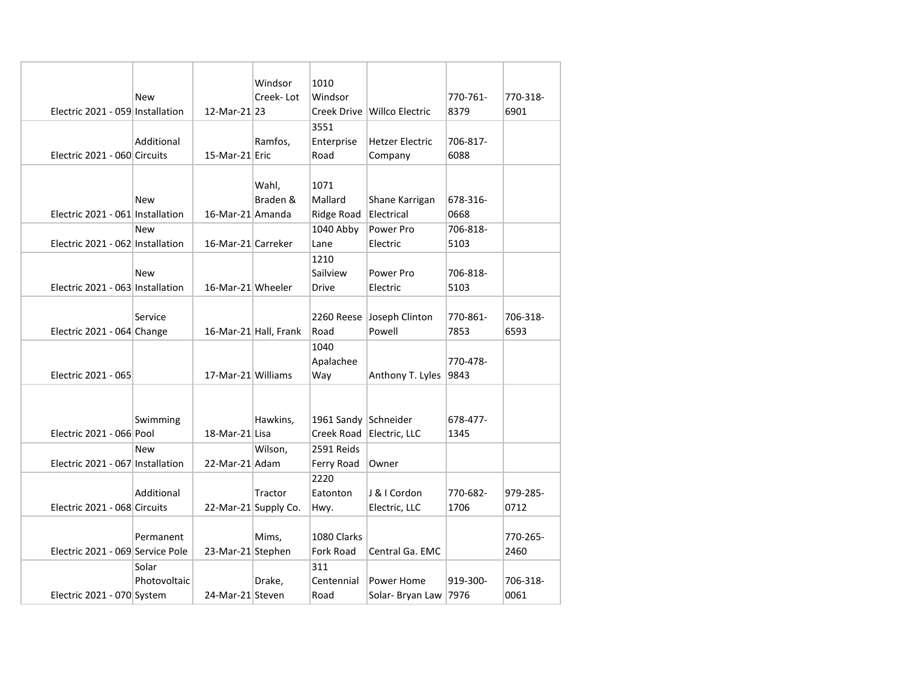|                                  |              |                    | Windsor               | 1010                 |                             |          |          |
|----------------------------------|--------------|--------------------|-----------------------|----------------------|-----------------------------|----------|----------|
|                                  | New          |                    | Creek-Lot             | Windsor              |                             | 770-761- | 770-318- |
| Electric 2021 - 059 Installation |              | 12-Mar-21 23       |                       |                      | Creek Drive Willco Electric | 8379     | 6901     |
|                                  |              |                    |                       | 3551                 |                             |          |          |
|                                  | Additional   |                    | Ramfos,               | Enterprise           | <b>Hetzer Electric</b>      | 706-817- |          |
| Electric 2021 - 060 Circuits     |              | 15-Mar-21 Eric     |                       | Road                 | Company                     | 6088     |          |
|                                  |              |                    |                       |                      |                             |          |          |
|                                  |              |                    | Wahl,                 | 1071                 |                             |          |          |
|                                  | New          |                    | Braden &              | Mallard              | Shane Karrigan              | 678-316- |          |
| Electric 2021 - 061 Installation |              | 16-Mar-21 Amanda   |                       | Ridge Road           | Electrical                  | 0668     |          |
|                                  | <b>New</b>   |                    |                       | 1040 Abby            | Power Pro                   | 706-818- |          |
| Electric 2021 - 062 Installation |              | 16-Mar-21 Carreker |                       | Lane                 | Electric                    | 5103     |          |
|                                  |              |                    |                       | 1210                 |                             |          |          |
|                                  | New          |                    |                       | Sailview             | Power Pro                   | 706-818- |          |
| Electric 2021 - 063 Installation |              | 16-Mar-21 Wheeler  |                       | <b>Drive</b>         | Electric                    | 5103     |          |
|                                  |              |                    |                       |                      |                             |          |          |
|                                  | Service      |                    |                       |                      | 2260 Reese Joseph Clinton   | 770-861- | 706-318- |
| Electric 2021 - 064 Change       |              |                    | 16-Mar-21 Hall, Frank | Road                 | Powell                      | 7853     | 6593     |
|                                  |              |                    |                       | 1040                 |                             |          |          |
|                                  |              |                    |                       | Apalachee            |                             | 770-478- |          |
| Electric 2021 - 065              |              | 17-Mar-21 Williams |                       | Way                  | Anthony T. Lyles 9843       |          |          |
|                                  |              |                    |                       |                      |                             |          |          |
|                                  |              |                    |                       |                      |                             |          |          |
|                                  | Swimming     |                    | Hawkins,              | 1961 Sandy Schneider |                             | 678-477- |          |
| Electric 2021 - 066 Pool         |              | 18-Mar-21 Lisa     |                       |                      | Creek Road Electric, LLC    | 1345     |          |
|                                  | <b>New</b>   |                    | Wilson,               | 2591 Reids           |                             |          |          |
| Electric 2021 - 067 Installation |              | 22-Mar-21 Adam     |                       | Ferry Road           | Owner                       |          |          |
|                                  |              |                    |                       | 2220                 |                             |          |          |
|                                  | Additional   |                    | Tractor               | Eatonton             | J & I Cordon                | 770-682- | 979-285- |
| Electric 2021 - 068 Circuits     |              |                    | 22-Mar-21 Supply Co.  | Hwy.                 | Electric, LLC               | 1706     | 0712     |
|                                  |              |                    |                       |                      |                             |          |          |
|                                  | Permanent    |                    | Mims,                 | 1080 Clarks          |                             |          | 770-265- |
| Electric 2021 - 069 Service Pole |              | 23-Mar-21 Stephen  |                       | <b>Fork Road</b>     | Central Ga. EMC             |          | 2460     |
|                                  | Solar        |                    |                       | 311                  |                             |          |          |
|                                  | Photovoltaic |                    | Drake,                | Centennial           | Power Home                  | 919-300- | 706-318- |
| Electric 2021 - 070 System       |              | 24-Mar-21 Steven   |                       | Road                 | Solar- Bryan Law 7976       |          | 0061     |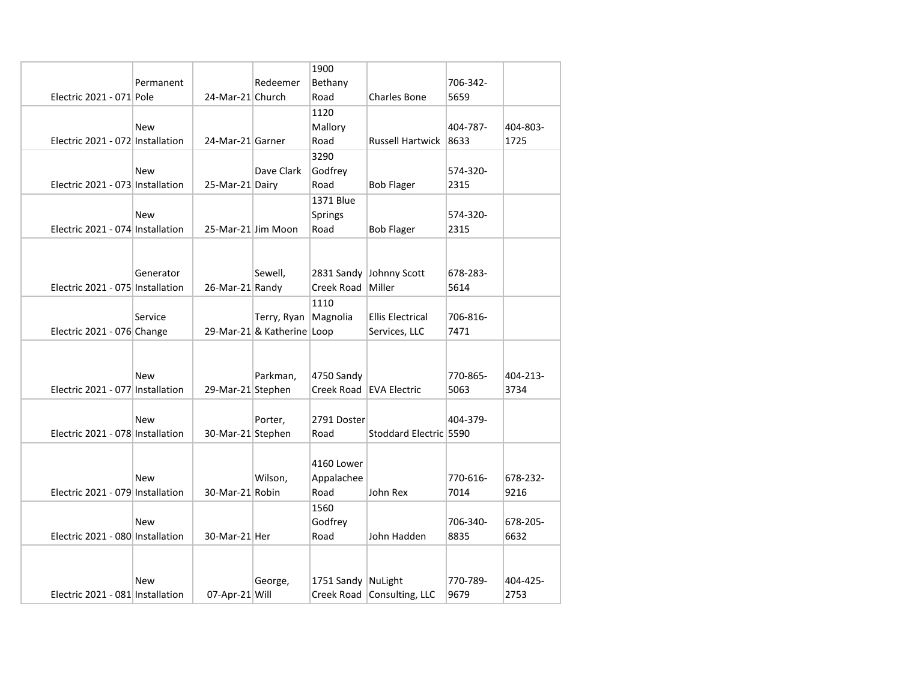|                                  |            |                    |                            | 1900               |                            |          |          |
|----------------------------------|------------|--------------------|----------------------------|--------------------|----------------------------|----------|----------|
|                                  | Permanent  |                    | Redeemer                   | Bethany            |                            | 706-342- |          |
| Electric 2021 - 071 Pole         |            | 24-Mar-21 Church   |                            | Road               | <b>Charles Bone</b>        | 5659     |          |
|                                  |            |                    |                            | 1120               |                            |          |          |
|                                  | <b>New</b> |                    |                            | Mallory            |                            | 404-787- | 404-803- |
| Electric 2021 - 072 Installation |            | 24-Mar-21 Garner   |                            | Road               | <b>Russell Hartwick</b>    | 8633     | 1725     |
|                                  |            |                    |                            | 3290               |                            |          |          |
|                                  | <b>New</b> |                    | Dave Clark                 | Godfrey            |                            | 574-320- |          |
| Electric 2021 - 073 Installation |            | 25-Mar-21 Dairy    |                            | Road               | <b>Bob Flager</b>          | 2315     |          |
|                                  |            |                    |                            | 1371 Blue          |                            |          |          |
|                                  | <b>New</b> |                    |                            | <b>Springs</b>     |                            | 574-320- |          |
| Electric 2021 - 074 Installation |            | 25-Mar-21 Jim Moon |                            | Road               | <b>Bob Flager</b>          | 2315     |          |
|                                  |            |                    |                            |                    |                            |          |          |
|                                  |            |                    |                            |                    |                            |          |          |
|                                  | Generator  |                    | Sewell,                    |                    | 2831 Sandy Johnny Scott    | 678-283- |          |
| Electric 2021 - 075 Installation |            | 26-Mar-21 Randy    |                            | Creek Road Miller  |                            | 5614     |          |
|                                  |            |                    |                            | 1110               |                            |          |          |
|                                  | Service    |                    | Terry, Ryan                | Magnolia           | <b>Ellis Electrical</b>    | 706-816- |          |
| Electric 2021 - 076 Change       |            |                    | 29-Mar-21 & Katherine Loop |                    | Services, LLC              | 7471     |          |
|                                  |            |                    |                            |                    |                            |          |          |
|                                  |            |                    |                            |                    |                            |          |          |
|                                  | <b>New</b> |                    | Parkman,                   | 4750 Sandy         |                            | 770-865- | 404-213- |
| Electric 2021 - 077 Installation |            | 29-Mar-21 Stephen  |                            |                    | Creek Road EVA Electric    | 5063     | 3734     |
|                                  |            |                    |                            |                    |                            |          |          |
|                                  | New        |                    | Porter,                    | 2791 Doster        |                            | 404-379- |          |
| Electric 2021 - 078 Installation |            | 30-Mar-21 Stephen  |                            | Road               | Stoddard Electric 5590     |          |          |
|                                  |            |                    |                            |                    |                            |          |          |
|                                  |            |                    |                            | 4160 Lower         |                            |          |          |
|                                  | New        |                    | Wilson,                    | Appalachee         |                            | 770-616- | 678-232- |
| Electric 2021 - 079 Installation |            | 30-Mar-21 Robin    |                            | Road               | John Rex                   | 7014     | 9216     |
|                                  |            |                    |                            | 1560               |                            |          |          |
|                                  | New        |                    |                            | Godfrey            |                            | 706-340- | 678-205- |
| Electric 2021 - 080 Installation |            | 30-Mar-21 Her      |                            | Road               | John Hadden                | 8835     | 6632     |
|                                  |            |                    |                            |                    |                            |          |          |
|                                  |            |                    |                            |                    |                            |          |          |
|                                  | New        |                    | George,                    | 1751 Sandy NuLight |                            | 770-789- | 404-425- |
| Electric 2021 - 081 Installation |            | 07-Apr-21 Will     |                            |                    | Creek Road Consulting, LLC | 9679     | 2753     |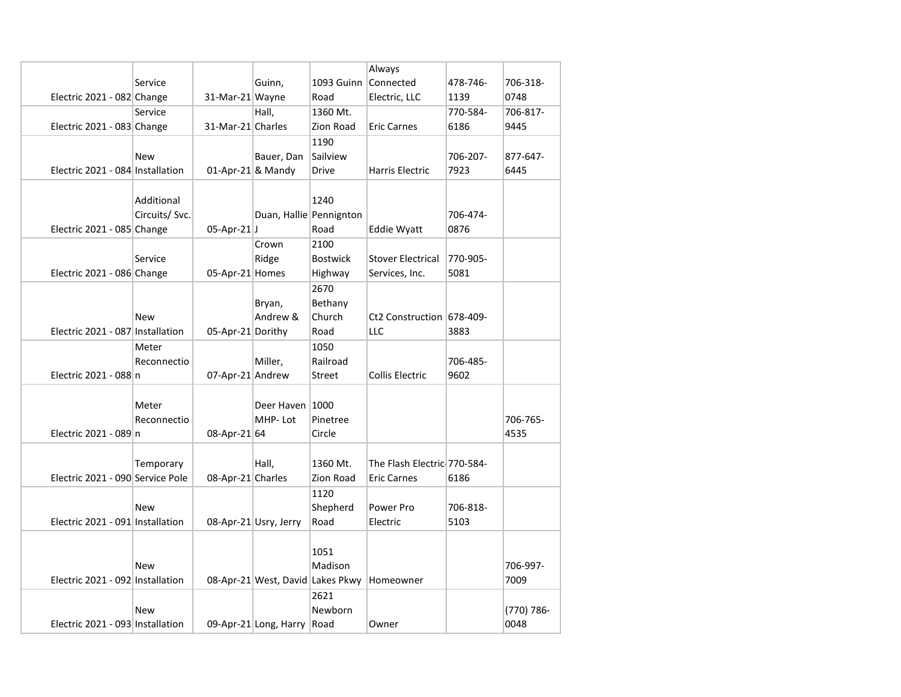|                                  |                |                      |                         |                      | Always                                       |          |            |
|----------------------------------|----------------|----------------------|-------------------------|----------------------|----------------------------------------------|----------|------------|
|                                  | Service        |                      | Guinn,                  | 1093 Guinn Connected |                                              | 478-746- | 706-318-   |
| Electric 2021 - 082 Change       |                | 31-Mar-21 Wayne      |                         | Road                 | Electric, LLC                                | 1139     | 0748       |
|                                  | Service        |                      | Hall,                   | 1360 Mt.             |                                              | 770-584- | 706-817-   |
| Electric 2021 - 083 Change       |                | 31-Mar-21 Charles    |                         | Zion Road            | <b>Eric Carnes</b>                           | 6186     | 9445       |
|                                  |                |                      |                         | 1190                 |                                              |          |            |
|                                  | <b>New</b>     |                      | Bauer, Dan              | Sailview             |                                              | 706-207- | 877-647-   |
| Electric 2021 - 084 Installation |                | $01$ -Apr-21 & Mandy |                         | <b>Drive</b>         | Harris Electric                              | 7923     | 6445       |
|                                  |                |                      |                         |                      |                                              |          |            |
|                                  | Additional     |                      |                         | 1240                 |                                              |          |            |
|                                  | Circuits/ Svc. |                      | Duan, Hallie Pennignton |                      |                                              | 706-474- |            |
| Electric 2021 - 085 Change       |                | $05$ -Apr-21J        |                         | Road                 | Eddie Wyatt                                  | 0876     |            |
|                                  |                |                      | Crown                   | 2100                 |                                              |          |            |
|                                  | Service        |                      | Ridge                   | <b>Bostwick</b>      | <b>Stover Electrical</b>                     | 770-905- |            |
| Electric 2021 - 086 Change       |                | 05-Apr-21 Homes      |                         | Highway              | Services, Inc.                               | 5081     |            |
|                                  |                |                      |                         | 2670                 |                                              |          |            |
|                                  |                |                      | Bryan,                  | Bethany              |                                              |          |            |
|                                  | New            |                      | Andrew &                | Church               | Ct2 Construction 678-409-                    |          |            |
| Electric 2021 - 087 Installation |                | 05-Apr-21 Dorithy    |                         | Road                 | LLC                                          | 3883     |            |
|                                  | Meter          |                      |                         | 1050                 |                                              |          |            |
|                                  | Reconnectio    |                      | Miller,                 | Railroad             |                                              | 706-485- |            |
| Electric 2021 - 088 n            |                | 07-Apr-21 Andrew     |                         | Street               | Collis Electric                              | 9602     |            |
|                                  |                |                      |                         |                      |                                              |          |            |
|                                  | Meter          |                      | Deer Haven 1000         |                      |                                              |          |            |
|                                  | Reconnectio    |                      | MHP-Lot                 | Pinetree             |                                              |          | 706-765-   |
| Electric 2021 - 089 n            |                | 08-Apr-21 64         |                         | Circle               |                                              |          | 4535       |
|                                  |                |                      |                         |                      |                                              |          |            |
|                                  | Temporary      |                      | Hall,                   | 1360 Mt.             | The Flash Electric 770-584-                  |          |            |
| Electric 2021 - 090 Service Pole |                | 08-Apr-21 Charles    |                         | Zion Road            | <b>Eric Carnes</b>                           | 6186     |            |
|                                  |                |                      |                         | 1120                 |                                              |          |            |
|                                  | <b>New</b>     |                      |                         | Shepherd             | Power Pro                                    | 706-818- |            |
| Electric 2021 - 091 Installation |                |                      | 08-Apr-21 Usry, Jerry   | Road                 | Electric                                     | 5103     |            |
|                                  |                |                      |                         |                      |                                              |          |            |
|                                  |                |                      |                         | 1051                 |                                              |          |            |
|                                  | <b>New</b>     |                      |                         | Madison              |                                              |          | 706-997-   |
| Electric 2021 - 092 Installation |                |                      |                         |                      | 08-Apr-21 West, David Lakes Pkwy   Homeowner |          | 7009       |
|                                  |                |                      |                         | 2621                 |                                              |          |            |
|                                  | <b>New</b>     |                      |                         | Newborn              |                                              |          | (770) 786- |
| Electric 2021 - 093 Installation |                |                      | 09-Apr-21 Long, Harry   | Road                 | Owner                                        |          | 0048       |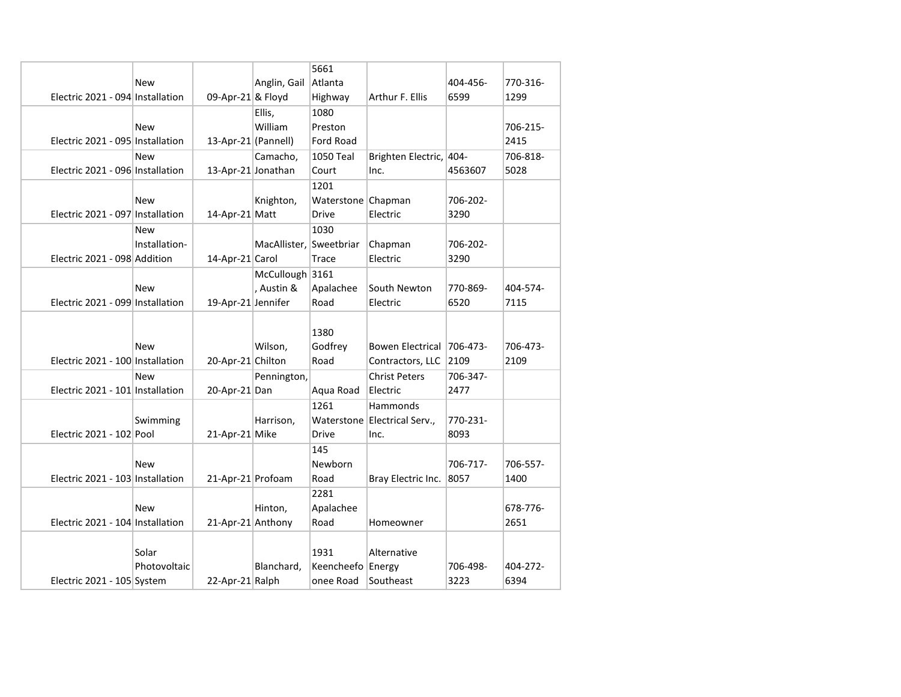|                                  |               |                 |                         | 5661               |                              |             |          |
|----------------------------------|---------------|-----------------|-------------------------|--------------------|------------------------------|-------------|----------|
|                                  | New           |                 | Anglin, Gail            | Atlanta            |                              | 404-456-    | 770-316- |
| Electric 2021 - 094 Installation |               |                 | 09-Apr-21 & Floyd       | Highway            | Arthur F. Ellis              | 6599        | 1299     |
|                                  |               |                 | Ellis,                  | 1080               |                              |             |          |
|                                  | <b>New</b>    |                 | William                 | Preston            |                              |             | 706-215- |
| Electric 2021 - 095 Installation |               |                 | 13-Apr-21 (Pannell)     | Ford Road          |                              |             | 2415     |
|                                  | <b>New</b>    |                 | Camacho,                | 1050 Teal          | Brighten Electric, 404-      |             | 706-818- |
| Electric 2021 - 096 Installation |               |                 | 13-Apr-21 Jonathan      | Court              | Inc.                         | 4563607     | 5028     |
|                                  |               |                 |                         | 1201               |                              |             |          |
|                                  | <b>New</b>    |                 | Knighton,               | Waterstone Chapman |                              | 706-202-    |          |
| Electric 2021 - 097 Installation |               | 14-Apr-21 Matt  |                         | <b>Drive</b>       | Electric                     | 3290        |          |
|                                  | <b>New</b>    |                 |                         | 1030               |                              |             |          |
|                                  | Installation- |                 | MacAllister, Sweetbriar |                    | Chapman                      | 706-202-    |          |
| Electric 2021 - 098 Addition     |               | 14-Apr-21 Carol |                         | Trace              | Electric                     | 3290        |          |
|                                  |               |                 | McCullough 3161         |                    |                              |             |          |
|                                  | <b>New</b>    |                 | , Austin &              | Apalachee          | South Newton                 | 770-869-    | 404-574- |
| Electric 2021 - 099 Installation |               |                 | 19-Apr-21 Jennifer      | Road               | Electric                     | 6520        | 7115     |
|                                  |               |                 |                         |                    |                              |             |          |
|                                  |               |                 |                         | 1380               |                              |             |          |
|                                  | <b>New</b>    |                 | Wilson,                 | Godfrey            | <b>Bowen Electrical</b>      | $ 706-473-$ | 706-473- |
| Electric 2021 - 100 Installation |               |                 | 20-Apr-21 Chilton       | Road               | Contractors, LLC             | 2109        | 2109     |
|                                  | <b>New</b>    |                 | Pennington,             |                    | <b>Christ Peters</b>         | 706-347-    |          |
| Electric 2021 - 101 Installation |               | 20-Apr-21 Dan   |                         | Aqua Road          | Electric                     | 2477        |          |
|                                  |               |                 |                         | 1261               | Hammonds                     |             |          |
|                                  | Swimming      |                 | Harrison,               |                    | Waterstone Electrical Serv., | 770-231-    |          |
| Electric 2021 - 102 Pool         |               | 21-Apr-21 Mike  |                         | <b>Drive</b>       | Inc.                         | 8093        |          |
|                                  |               |                 |                         | 145                |                              |             |          |
|                                  | <b>New</b>    |                 |                         | Newborn            |                              | 706-717-    | 706-557- |
| Electric 2021 - 103 Installation |               |                 | 21-Apr-21 Profoam       | Road               | Bray Electric Inc.           | 8057        | 1400     |
|                                  |               |                 |                         | 2281               |                              |             |          |
|                                  | <b>New</b>    |                 | Hinton,                 | Apalachee          |                              |             | 678-776- |
| Electric 2021 - 104 Installation |               |                 | 21-Apr-21 Anthony       | Road               | Homeowner                    |             | 2651     |
|                                  |               |                 |                         |                    |                              |             |          |
|                                  | Solar         |                 |                         | 1931               | Alternative                  |             |          |
|                                  | Photovoltaic  |                 | Blanchard,              | Keencheefo Energy  |                              | 706-498-    | 404-272- |
| Electric 2021 - 105 System       |               |                 | 22-Apr-21 Ralph         | onee Road          | Southeast                    | 3223        | 6394     |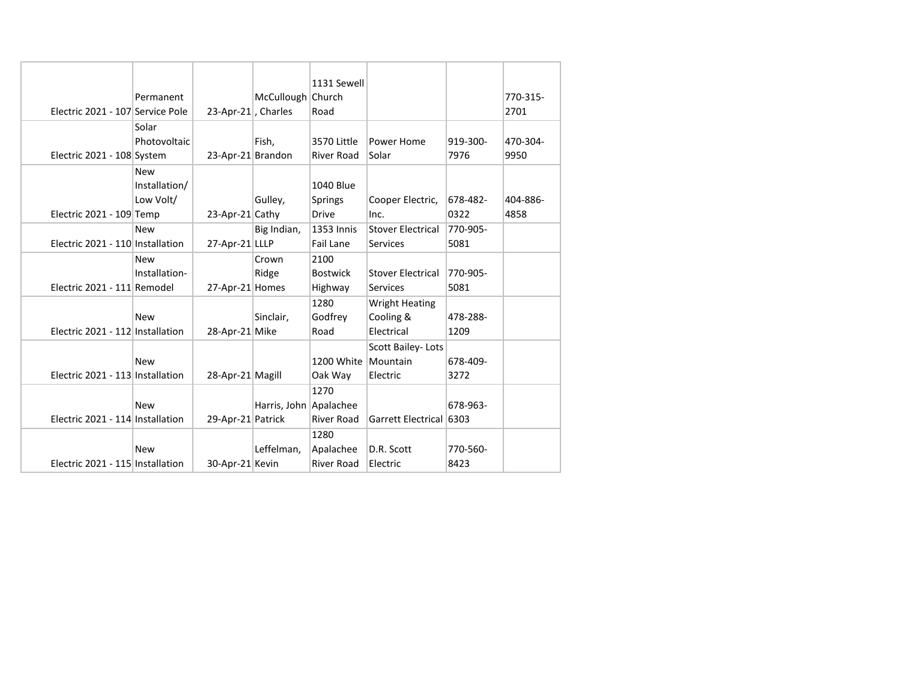|                                  |                   |                        | 1131 Sewell         |                          |          |          |
|----------------------------------|-------------------|------------------------|---------------------|--------------------------|----------|----------|
|                                  | Permanent         | McCullough             | Church              |                          |          | 770-315- |
| Electric 2021 - 107 Service Pole |                   | 23-Apr-21, Charles     | Road                |                          |          | 2701     |
|                                  | Solar             |                        |                     |                          |          |          |
|                                  | Photovoltaic      | Fish,                  | 3570 Little         | Power Home               | 919-300- | 470-304- |
| Electric 2021 - 108 System       |                   | 23-Apr-21 Brandon      | <b>River Road</b>   | Solar                    | 7976     | 9950     |
|                                  | <b>New</b>        |                        |                     |                          |          |          |
|                                  | Installation/     |                        | 1040 Blue           |                          |          |          |
|                                  | Low Volt/         | Gulley,                | <b>Springs</b>      | Cooper Electric,         | 678-482- | 404-886- |
| Electric 2021 - 109 Temp         | 23-Apr-21 Cathy   |                        | <b>Drive</b>        | Inc.                     | 0322     | 4858     |
|                                  | <b>New</b>        | Big Indian,            | 1353 Innis          | <b>Stover Electrical</b> | 770-905- |          |
| Electric 2021 - 110 Installation | 27-Apr-21 LLLP    |                        | <b>Fail Lane</b>    | <b>Services</b>          | 5081     |          |
|                                  | <b>New</b>        | Crown                  | 2100                |                          |          |          |
|                                  | Installation-     | Ridge                  | <b>Bostwick</b>     | <b>Stover Electrical</b> | 770-905- |          |
| Electric 2021 - 111 Remodel      | 27-Apr-21 Homes   |                        | Highway             | <b>Services</b>          | 5081     |          |
|                                  |                   |                        | 1280                | <b>Wright Heating</b>    |          |          |
|                                  | <b>New</b>        | Sinclair,              | Godfrey             | Cooling &                | 478-288- |          |
| Electric 2021 - 112 Installation | 28-Apr-21 Mike    |                        | Road                | Electrical               | 1209     |          |
|                                  |                   |                        |                     | Scott Bailey-Lots        |          |          |
|                                  | <b>New</b>        |                        | 1200 White Mountain |                          | 678-409- |          |
| Electric 2021 - 113 Installation | 28-Apr-21 Magill  |                        | Oak Way             | Electric                 | 3272     |          |
|                                  |                   |                        | 1270                |                          |          |          |
|                                  | <b>New</b>        | Harris, John Apalachee |                     |                          | 678-963- |          |
| Electric 2021 - 114 Installation | 29-Apr-21 Patrick |                        | <b>River Road</b>   | Garrett Electrical 6303  |          |          |
|                                  |                   |                        | 1280                |                          |          |          |
|                                  | <b>New</b>        | Leffelman,             | Apalachee           | D.R. Scott               | 770-560- |          |
| Electric 2021 - 115 Installation | 30-Apr-21 Kevin   |                        | <b>River Road</b>   | Electric                 | 8423     |          |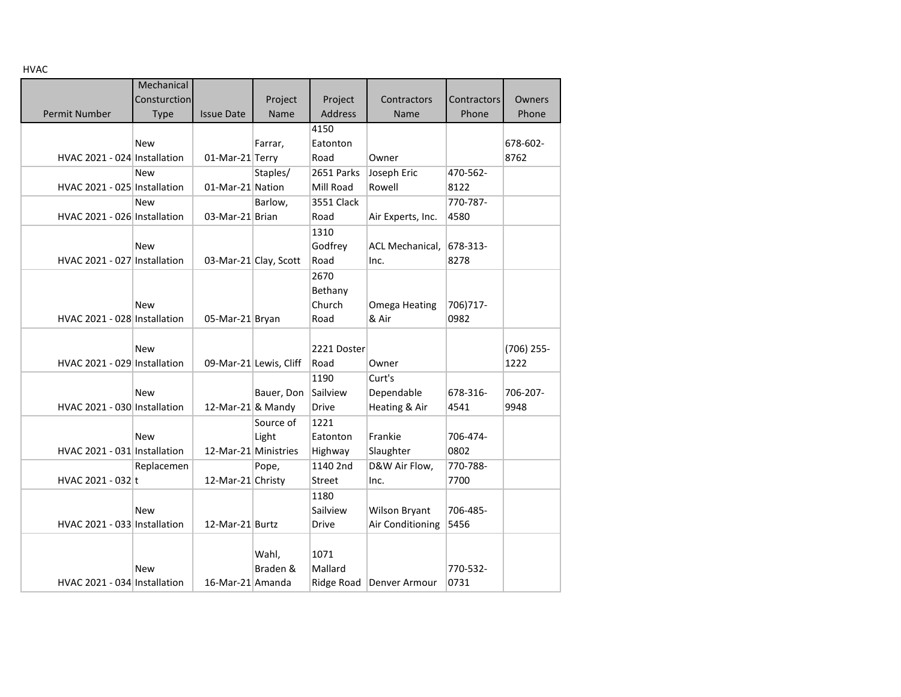|  |  |  | ۰, |
|--|--|--|----|
|  |  |  |    |

| пудс                         |              |                      |                        |                |                   |             |            |
|------------------------------|--------------|----------------------|------------------------|----------------|-------------------|-------------|------------|
|                              | Mechanical   |                      |                        |                |                   |             |            |
|                              | Consturction |                      | Project                | Project        | Contractors       | Contractors | Owners     |
| <b>Permit Number</b>         | Type         | <b>Issue Date</b>    | Name                   | <b>Address</b> | Name              | Phone       | Phone      |
|                              |              |                      |                        | 4150           |                   |             |            |
|                              | <b>New</b>   |                      | Farrar,                | Eatonton       |                   |             | 678-602-   |
| HVAC 2021 - 024 Installation |              | 01-Mar-21 Terry      |                        | Road           | Owner             |             | 8762       |
|                              | <b>New</b>   |                      | Staples/               | 2651 Parks     | Joseph Eric       | 470-562-    |            |
| HVAC 2021 - 025 Installation |              | 01-Mar-21 Nation     |                        | Mill Road      | Rowell            | 8122        |            |
|                              | <b>New</b>   |                      | Barlow,                | 3551 Clack     |                   | 770-787-    |            |
| HVAC 2021 - 026 Installation |              | 03-Mar-21 Brian      |                        | Road           | Air Experts, Inc. | 4580        |            |
|                              |              |                      |                        | 1310           |                   |             |            |
|                              | <b>New</b>   |                      |                        | Godfrey        | ACL Mechanical,   | 678-313-    |            |
| HVAC 2021 - 027 Installation |              |                      | 03-Mar-21 Clay, Scott  | Road           | Inc.              | 8278        |            |
|                              |              |                      |                        | 2670           |                   |             |            |
|                              |              |                      |                        | Bethany        |                   |             |            |
|                              | <b>New</b>   |                      |                        | Church         | Omega Heating     | 706) 717-   |            |
| HVAC 2021 - 028 Installation |              | 05-Mar-21 Bryan      |                        | Road           | & Air             | 0982        |            |
|                              |              |                      |                        |                |                   |             |            |
|                              | <b>New</b>   |                      |                        | 2221 Doster    |                   |             | (706) 255- |
| HVAC 2021 - 029 Installation |              |                      | 09-Mar-21 Lewis, Cliff | Road           | Owner             |             | 1222       |
|                              |              |                      |                        | 1190           | Curt's            |             |            |
|                              | <b>New</b>   |                      | Bauer, Don             | Sailview       | Dependable        | 678-316-    | 706-207-   |
| HVAC 2021 - 030 Installation |              | 12-Mar-21 & Mandy    |                        | <b>Drive</b>   | Heating & Air     | 4541        | 9948       |
|                              |              |                      | Source of              | 1221           |                   |             |            |
|                              | <b>New</b>   |                      | Light                  | Eatonton       | Frankie           | 706-474-    |            |
| HVAC 2021 - 031 Installation |              | 12-Mar-21 Ministries |                        | Highway        | Slaughter         | 0802        |            |
|                              | Replacemen   |                      | Pope,                  | 1140 2nd       | D&W Air Flow,     | 770-788-    |            |
| HVAC 2021 - 032 t            |              | 12-Mar-21 Christy    |                        | <b>Street</b>  | Inc.              | 7700        |            |
|                              |              |                      |                        | 1180           |                   |             |            |
|                              | <b>New</b>   |                      |                        | Sailview       | Wilson Bryant     | 706-485-    |            |
| HVAC 2021 - 033 Installation |              | 12-Mar-21 Burtz      |                        | Drive          | Air Conditioning  | 5456        |            |
|                              |              |                      |                        |                |                   |             |            |
|                              |              |                      | Wahl,                  | 1071           |                   |             |            |
|                              | <b>New</b>   |                      | Braden &               | Mallard        |                   | 770-532-    |            |
| HVAC 2021 - 034 Installation |              | 16-Mar-21 Amanda     |                        | Ridge Road     | Denver Armour     | 0731        |            |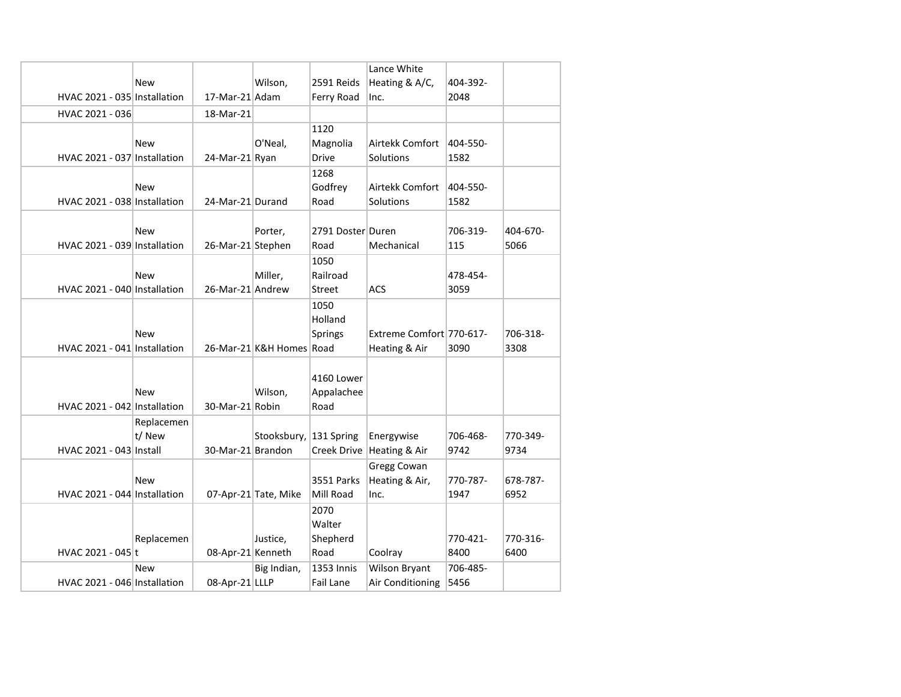|                              |            |                   |                          |                   | Lance White              |          |          |
|------------------------------|------------|-------------------|--------------------------|-------------------|--------------------------|----------|----------|
|                              | <b>New</b> |                   | Wilson,                  | 2591 Reids        | Heating & A/C,           | 404-392- |          |
| HVAC 2021 - 035 Installation |            | 17-Mar-21 Adam    |                          | Ferry Road        | Inc.                     | 2048     |          |
| HVAC 2021 - 036              |            | 18-Mar-21         |                          |                   |                          |          |          |
|                              |            |                   |                          | 1120              |                          |          |          |
|                              | <b>New</b> |                   | O'Neal,                  | Magnolia          | Airtekk Comfort          | 404-550- |          |
| HVAC 2021 - 037 Installation |            | 24-Mar-21 Ryan    |                          | Drive             | Solutions                | 1582     |          |
|                              |            |                   |                          | 1268              |                          |          |          |
|                              | <b>New</b> |                   |                          | Godfrey           | Airtekk Comfort          | 404-550- |          |
| HVAC 2021 - 038 Installation |            | 24-Mar-21 Durand  |                          | Road              | Solutions                | 1582     |          |
|                              |            |                   |                          |                   |                          |          |          |
|                              | <b>New</b> |                   | Porter,                  | 2791 Doster Duren |                          | 706-319- | 404-670- |
| HVAC 2021 - 039 Installation |            | 26-Mar-21 Stephen |                          | Road              | Mechanical               | 115      | 5066     |
|                              |            |                   |                          | 1050              |                          |          |          |
|                              | <b>New</b> |                   | Miller,                  | Railroad          |                          | 478-454- |          |
| HVAC 2021 - 040 Installation |            | 26-Mar-21 Andrew  |                          | Street            | <b>ACS</b>               | 3059     |          |
|                              |            |                   |                          | 1050              |                          |          |          |
|                              |            |                   |                          | Holland           |                          |          |          |
|                              | <b>New</b> |                   |                          | <b>Springs</b>    | Extreme Comfort 770-617- |          | 706-318- |
| HVAC 2021 - 041 Installation |            |                   | 26-Mar-21 K&H Homes Road |                   | Heating & Air            | 3090     | 3308     |
|                              |            |                   |                          |                   |                          |          |          |
|                              |            |                   |                          | 4160 Lower        |                          |          |          |
|                              | <b>New</b> |                   | Wilson,                  | Appalachee        |                          |          |          |
| HVAC 2021 - 042 Installation |            | 30-Mar-21 Robin   |                          | Road              |                          |          |          |
|                              | Replacemen |                   |                          |                   |                          |          |          |
|                              | t/ New     |                   | Stooksbury,              | 131 Spring        | Energywise               | 706-468- | 770-349- |
| HVAC 2021 - 043 Install      |            | 30-Mar-21 Brandon |                          | Creek Drive       | Heating & Air            | 9742     | 9734     |
|                              |            |                   |                          |                   | <b>Gregg Cowan</b>       |          |          |
|                              | <b>New</b> |                   |                          | <b>3551 Parks</b> | Heating & Air,           | 770-787- | 678-787- |
| HVAC 2021 - 044 Installation |            |                   | 07-Apr-21 Tate, Mike     | Mill Road         | Inc.                     | 1947     | 6952     |
|                              |            |                   |                          | 2070              |                          |          |          |
|                              |            |                   |                          | Walter            |                          |          |          |
|                              | Replacemen |                   | Justice,                 | Shepherd          |                          | 770-421- | 770-316- |
| HVAC 2021 - 045 t            |            | 08-Apr-21 Kenneth |                          | Road              | Coolray                  | 8400     | 6400     |
|                              | <b>New</b> |                   | Big Indian,              | 1353 Innis        | Wilson Bryant            | 706-485- |          |
| HVAC 2021 - 046 Installation |            | 08-Apr-21 LLLP    |                          | Fail Lane         | Air Conditioning         | 5456     |          |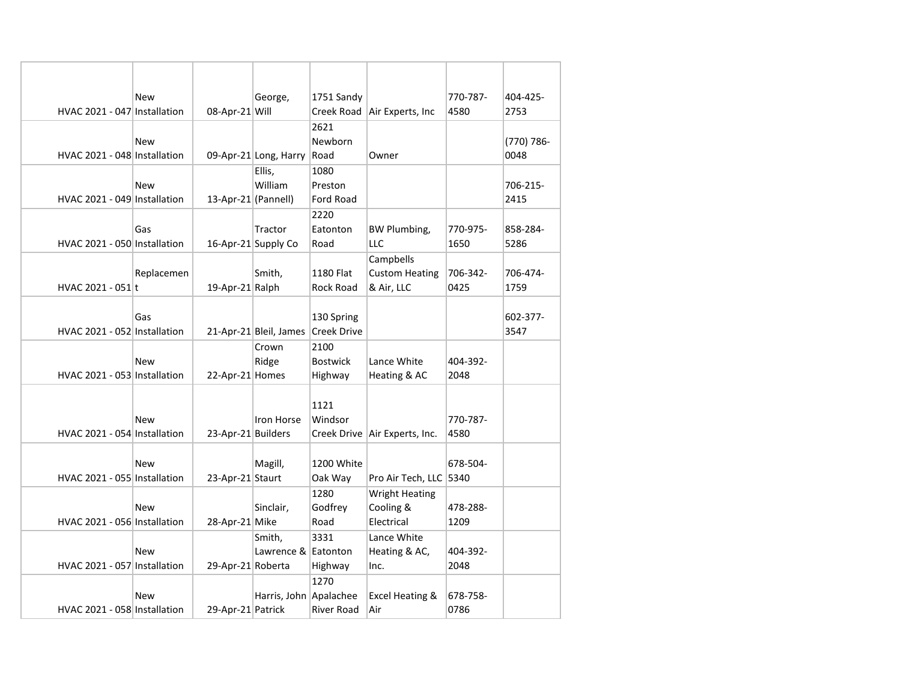|                              | <b>New</b>     | George,                | 1751 Sandy         |                               | 770-787- | 404-425-   |
|------------------------------|----------------|------------------------|--------------------|-------------------------------|----------|------------|
| HVAC 2021 - 047 Installation | 08-Apr-21 Will |                        |                    | Creek Road Air Experts, Inc   | 4580     | 2753       |
|                              |                |                        | 2621               |                               |          |            |
|                              | <b>New</b>     |                        | Newborn            |                               |          | (770) 786- |
| HVAC 2021 - 048 Installation |                | 09-Apr-21 Long, Harry  | Road               | Owner                         |          | 0048       |
|                              |                | Ellis,                 | 1080               |                               |          |            |
|                              | <b>New</b>     | William                | Preston            |                               |          | 706-215-   |
| HVAC 2021 - 049 Installation |                | 13-Apr-21 (Pannell)    | Ford Road          |                               |          | 2415       |
|                              |                |                        | 2220               |                               |          |            |
|                              | Gas            | Tractor                | Eatonton           | <b>BW Plumbing,</b>           | 770-975- | 858-284-   |
| HVAC 2021 - 050 Installation |                | 16-Apr-21 Supply Co    | Road               | LLC                           | 1650     | 5286       |
|                              |                |                        |                    | Campbells                     |          |            |
|                              | Replacemen     | Smith,                 | 1180 Flat          | <b>Custom Heating</b>         | 706-342- | 706-474-   |
| HVAC 2021 - 051 t            |                | 19-Apr-21 Ralph        | <b>Rock Road</b>   | & Air, LLC                    | 0425     | 1759       |
|                              |                |                        |                    |                               |          |            |
|                              | Gas            |                        | 130 Spring         |                               |          | 602-377-   |
| HVAC 2021 - 052 Installation |                | 21-Apr-21 Bleil, James | <b>Creek Drive</b> |                               |          | 3547       |
|                              |                | Crown                  | 2100               |                               |          |            |
|                              | <b>New</b>     | Ridge                  | <b>Bostwick</b>    | Lance White                   | 404-392- |            |
| HVAC 2021 - 053 Installation |                | 22-Apr-21 Homes        | Highway            | Heating & AC                  | 2048     |            |
|                              |                |                        |                    |                               |          |            |
|                              |                |                        | 1121               |                               |          |            |
|                              | <b>New</b>     | Iron Horse             | Windsor            |                               | 770-787- |            |
| HVAC 2021 - 054 Installation |                | 23-Apr-21 Builders     |                    | Creek Drive Air Experts, Inc. | 4580     |            |
|                              |                |                        |                    |                               |          |            |
|                              | <b>New</b>     | Magill,                | 1200 White         |                               | 678-504- |            |
| HVAC 2021 - 055 Installation |                | 23-Apr-21 Staurt       | Oak Way            | Pro Air Tech, LLC 5340        |          |            |
|                              |                |                        | 1280               | <b>Wright Heating</b>         |          |            |
|                              | <b>New</b>     | Sinclair,              | Godfrey            | Cooling &                     | 478-288- |            |
| HVAC 2021 - 056 Installation | 28-Apr-21 Mike |                        | Road               | Electrical                    | 1209     |            |
|                              |                | Smith.                 | 3331               | Lance White                   |          |            |
|                              | <b>New</b>     | Lawrence & Eatonton    |                    | Heating & AC,                 | 404-392- |            |
| HVAC 2021 - 057 Installation |                | 29-Apr-21 Roberta      | Highway            | Inc.                          | 2048     |            |
|                              |                |                        | 1270               |                               |          |            |
|                              | <b>New</b>     | Harris, John Apalachee |                    | <b>Excel Heating &amp;</b>    | 678-758- |            |
| HVAC 2021 - 058 Installation |                | 29-Apr-21 Patrick      | River Road         | Air                           | 0786     |            |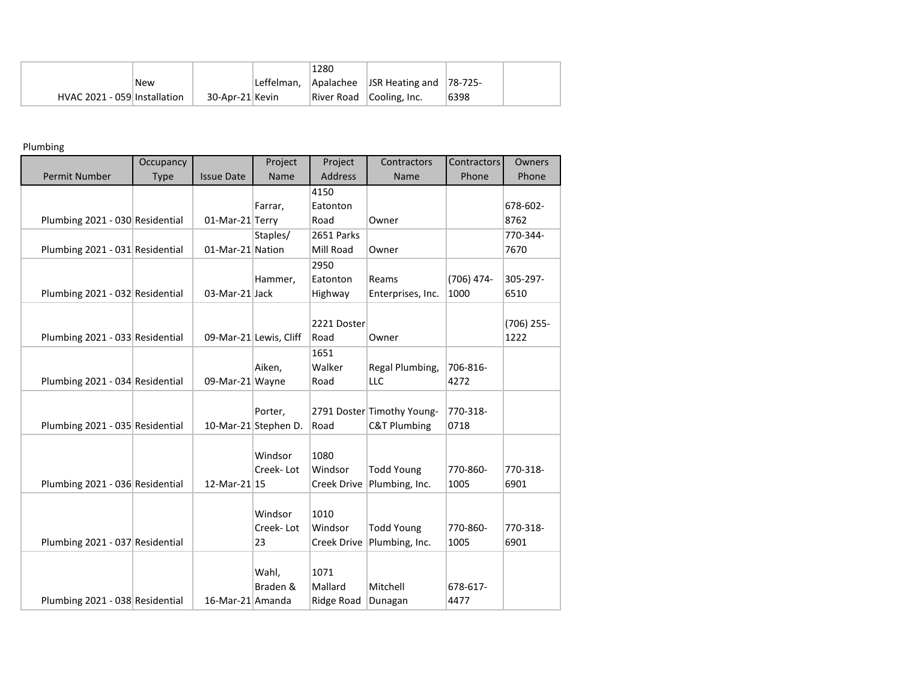|                              |            |                 | 1280 |                                              |      |  |
|------------------------------|------------|-----------------|------|----------------------------------------------|------|--|
|                              | <b>New</b> |                 |      | Leffelman, Apalachee JSR Heating and 78-725- |      |  |
| HVAC 2021 - 059 Installation |            | 30-Apr-21 Kevin |      | River Road Cooling, Inc.                     | 6398 |  |

## Plumbing

|                                 | Occupancy   |                   | Project                | Project        | Contractors                | Contractors | Owners     |
|---------------------------------|-------------|-------------------|------------------------|----------------|----------------------------|-------------|------------|
| Permit Number                   | <b>Type</b> | <b>Issue Date</b> | Name                   | <b>Address</b> | Name                       | Phone       | Phone      |
|                                 |             |                   |                        | 4150           |                            |             |            |
|                                 |             |                   | Farrar,                | Eatonton       |                            |             | 678-602-   |
| Plumbing 2021 - 030 Residential |             | 01-Mar-21 Terry   |                        | Road           | Owner                      |             | 8762       |
|                                 |             |                   | Staples/               | 2651 Parks     |                            |             | 770-344-   |
| Plumbing 2021 - 031 Residential |             | 01-Mar-21 Nation  |                        | Mill Road      | Owner                      |             | 7670       |
|                                 |             |                   |                        | 2950           |                            |             |            |
|                                 |             |                   | Hammer,                | Eatonton       | Reams                      | (706) 474-  | 305-297-   |
| Plumbing 2021 - 032 Residential |             | 03-Mar-21 Jack    |                        | Highway        | Enterprises, Inc.          | 1000        | 6510       |
|                                 |             |                   |                        |                |                            |             |            |
|                                 |             |                   |                        | 2221 Doster    |                            |             | (706) 255- |
| Plumbing 2021 - 033 Residential |             |                   | 09-Mar-21 Lewis, Cliff | Road           | Owner                      |             | 1222       |
|                                 |             |                   |                        | 1651           |                            |             |            |
|                                 |             |                   | Aiken,                 | Walker         | Regal Plumbing,            | 706-816-    |            |
| Plumbing 2021 - 034 Residential |             | 09-Mar-21 Wayne   |                        | Road           | LLC                        | 4272        |            |
|                                 |             |                   |                        |                |                            |             |            |
|                                 |             |                   | Porter,                |                | 2791 Doster Timothy Young- | 770-318-    |            |
| Plumbing 2021 - 035 Residential |             |                   | 10-Mar-21 Stephen D.   | Road           | <b>C&amp;T Plumbing</b>    | 0718        |            |
|                                 |             |                   |                        |                |                            |             |            |
|                                 |             |                   | Windsor                | 1080           |                            |             |            |
|                                 |             |                   | Creek-Lot              | Windsor        | <b>Todd Young</b>          | 770-860-    | 770-318-   |
| Plumbing 2021 - 036 Residential |             | 12-Mar-21 15      |                        | Creek Drive    | Plumbing, Inc.             | 1005        | 6901       |
|                                 |             |                   |                        |                |                            |             |            |
|                                 |             |                   | Windsor                | 1010           |                            |             |            |
|                                 |             |                   | Creek-Lot              | Windsor        | <b>Todd Young</b>          | 770-860-    | 770-318-   |
| Plumbing 2021 - 037 Residential |             |                   | 23                     | Creek Drive    | Plumbing, Inc.             | 1005        | 6901       |
|                                 |             |                   |                        |                |                            |             |            |
|                                 |             |                   | Wahl,                  | 1071           |                            |             |            |
|                                 |             |                   | Braden &               | Mallard        | Mitchell                   | 678-617-    |            |
| Plumbing 2021 - 038 Residential |             | 16-Mar-21 Amanda  |                        | Ridge Road     | Dunagan                    | 4477        |            |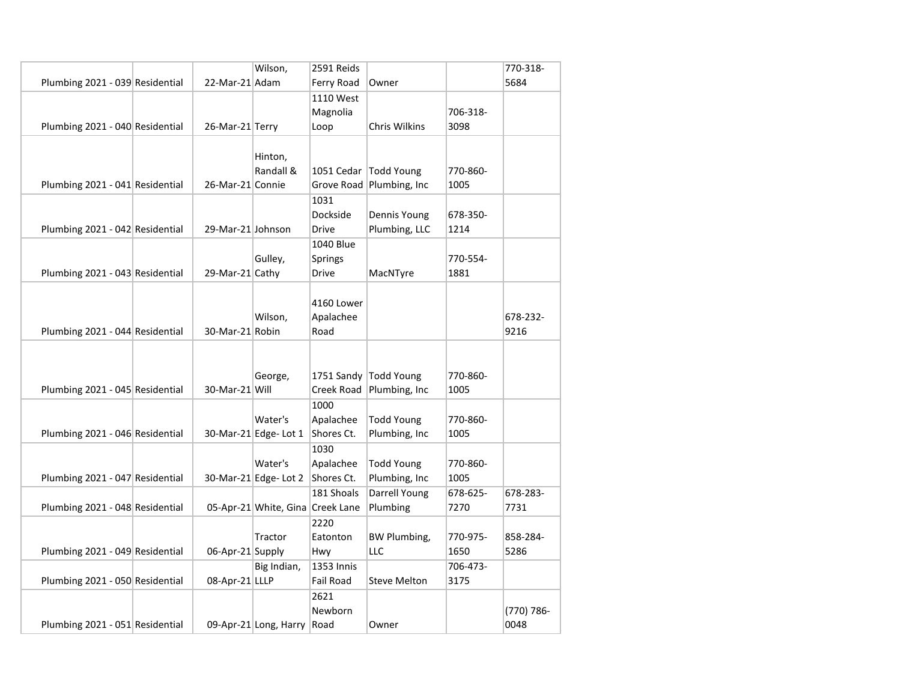|                                 |                   | Wilson,                          | 2591 Reids     |                           |          | 770-318-   |
|---------------------------------|-------------------|----------------------------------|----------------|---------------------------|----------|------------|
| Plumbing 2021 - 039 Residential | 22-Mar-21 Adam    |                                  | Ferry Road     | Owner                     |          | 5684       |
|                                 |                   |                                  | 1110 West      |                           |          |            |
|                                 |                   |                                  | Magnolia       |                           | 706-318- |            |
| Plumbing 2021 - 040 Residential | 26-Mar-21 Terry   |                                  | Loop           | <b>Chris Wilkins</b>      | 3098     |            |
|                                 |                   |                                  |                |                           |          |            |
|                                 |                   | Hinton,                          |                |                           |          |            |
|                                 |                   | Randall &                        |                | 1051 Cedar Todd Young     | 770-860- |            |
| Plumbing 2021 - 041 Residential | 26-Mar-21 Connie  |                                  |                | Grove Road Plumbing, Inc. | 1005     |            |
|                                 |                   |                                  | 1031           |                           |          |            |
|                                 |                   |                                  | Dockside       | Dennis Young              | 678-350- |            |
| Plumbing 2021 - 042 Residential | 29-Mar-21 Johnson |                                  | <b>Drive</b>   | Plumbing, LLC             | 1214     |            |
|                                 |                   |                                  | 1040 Blue      |                           |          |            |
|                                 |                   | Gulley,                          | <b>Springs</b> |                           | 770-554- |            |
| Plumbing 2021 - 043 Residential | 29-Mar-21 Cathy   |                                  | <b>Drive</b>   | MacNTyre                  | 1881     |            |
|                                 |                   |                                  |                |                           |          |            |
|                                 |                   |                                  | 4160 Lower     |                           |          |            |
|                                 |                   | Wilson,                          | Apalachee      |                           |          | 678-232-   |
| Plumbing 2021 - 044 Residential | 30-Mar-21 Robin   |                                  | Road           |                           |          | 9216       |
|                                 |                   |                                  |                |                           |          |            |
|                                 |                   |                                  |                |                           |          |            |
|                                 |                   | George,                          |                | 1751 Sandy Todd Young     | 770-860- |            |
| Plumbing 2021 - 045 Residential | 30-Mar-21 Will    |                                  | Creek Road     | Plumbing, Inc             | 1005     |            |
|                                 |                   |                                  | 1000           |                           |          |            |
|                                 |                   | Water's                          | Apalachee      | <b>Todd Young</b>         | 770-860- |            |
| Plumbing 2021 - 046 Residential |                   | 30-Mar-21 Edge- Lot 1            | Shores Ct.     | Plumbing, Inc             | 1005     |            |
|                                 |                   |                                  | 1030           |                           |          |            |
|                                 |                   | Water's                          | Apalachee      | <b>Todd Young</b>         | 770-860- |            |
| Plumbing 2021 - 047 Residential |                   | 30-Mar-21 Edge-Lot 2             | Shores Ct.     | Plumbing, Inc             | 1005     |            |
|                                 |                   |                                  | 181 Shoals     | Darrell Young             | 678-625- | 678-283-   |
| Plumbing 2021 - 048 Residential |                   | 05-Apr-21 White, Gina Creek Lane |                | Plumbing                  | 7270     | 7731       |
|                                 |                   |                                  | 2220           |                           |          |            |
|                                 |                   | Tractor                          | Eatonton       | <b>BW Plumbing,</b>       | 770-975- | 858-284-   |
| Plumbing 2021 - 049 Residential | 06-Apr-21 Supply  |                                  | Hwy            | LLC                       | 1650     | 5286       |
|                                 |                   | Big Indian,                      | 1353 Innis     |                           | 706-473- |            |
| Plumbing 2021 - 050 Residential | 08-Apr-21 LLLP    |                                  | Fail Road      | <b>Steve Melton</b>       | 3175     |            |
|                                 |                   |                                  | 2621           |                           |          |            |
|                                 |                   |                                  | Newborn        |                           |          | (770) 786- |
| Plumbing 2021 - 051 Residential |                   | 09-Apr-21 Long, Harry Road       |                | Owner                     |          | 0048       |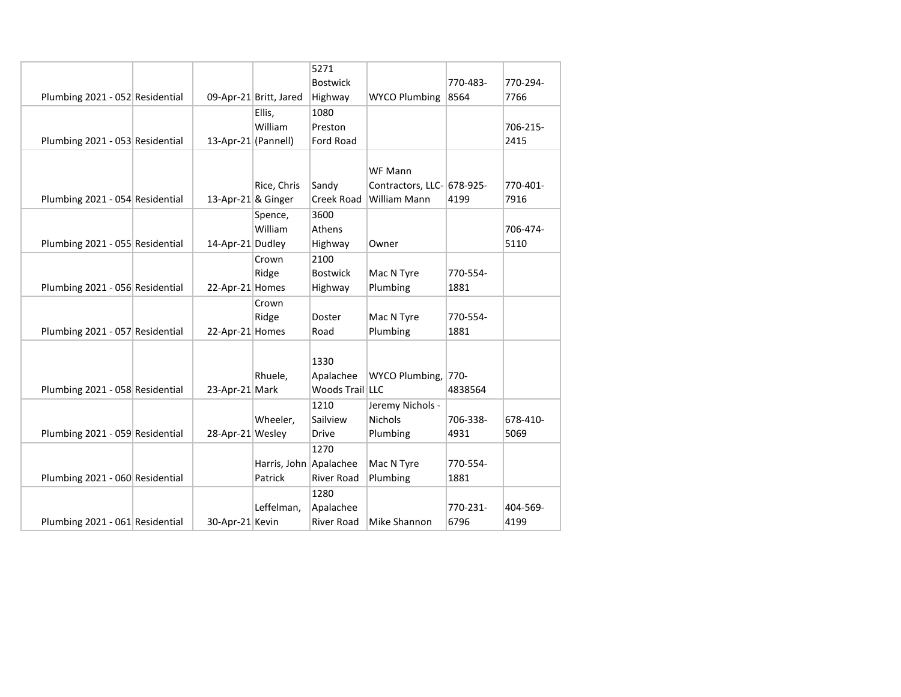|                                 |                     |                        | 5271              |                            |          |          |
|---------------------------------|---------------------|------------------------|-------------------|----------------------------|----------|----------|
|                                 |                     |                        | <b>Bostwick</b>   |                            | 770-483- | 770-294- |
| Plumbing 2021 - 052 Residential |                     | 09-Apr-21 Britt, Jared | Highway           | <b>WYCO Plumbing</b>       | 8564     | 7766     |
|                                 |                     | Ellis.                 | 1080              |                            |          |          |
|                                 |                     | William                | Preston           |                            |          | 706-215- |
| Plumbing 2021 - 053 Residential | 13-Apr-21 (Pannell) |                        | <b>Ford Road</b>  |                            |          | 2415     |
|                                 |                     |                        |                   |                            |          |          |
|                                 |                     |                        |                   | WF Mann                    |          |          |
|                                 |                     | Rice, Chris            | Sandy             | Contractors, LLC- 678-925- |          | 770-401- |
| Plumbing 2021 - 054 Residential | 13-Apr-21 & Ginger  |                        | Creek Road        | William Mann               | 4199     | 7916     |
|                                 |                     | Spence,                | 3600              |                            |          |          |
|                                 |                     | William                | Athens            |                            |          | 706-474- |
| Plumbing 2021 - 055 Residential | 14-Apr-21 Dudley    |                        | Highway           | Owner                      |          | 5110     |
|                                 |                     | Crown                  | 2100              |                            |          |          |
|                                 |                     | Ridge                  | <b>Bostwick</b>   | Mac N Tyre                 | 770-554- |          |
| Plumbing 2021 - 056 Residential | 22-Apr-21 Homes     |                        | Highway           | Plumbing                   | 1881     |          |
|                                 |                     |                        |                   |                            |          |          |
|                                 |                     | Crown                  |                   |                            |          |          |
|                                 |                     | Ridge                  | Doster            | Mac N Tyre                 | 770-554- |          |
| Plumbing 2021 - 057 Residential | 22-Apr-21 Homes     |                        | Road              | Plumbing                   | 1881     |          |
|                                 |                     |                        |                   |                            |          |          |
|                                 |                     |                        | 1330              |                            |          |          |
|                                 |                     | Rhuele,                | Apalachee         | WYCO Plumbing, 770-        |          |          |
| Plumbing 2021 - 058 Residential | 23-Apr-21 Mark      |                        | Woods Trail LLC   |                            | 4838564  |          |
|                                 |                     |                        | 1210              | Jeremy Nichols -           |          |          |
|                                 |                     | Wheeler,               | Sailview          | <b>Nichols</b>             | 706-338- | 678-410- |
| Plumbing 2021 - 059 Residential | 28-Apr-21 Wesley    |                        | Drive             | Plumbing                   | 4931     | 5069     |
|                                 |                     |                        | 1270              |                            |          |          |
|                                 |                     | Harris, John Apalachee |                   | Mac N Tyre                 | 770-554- |          |
| Plumbing 2021 - 060 Residential |                     | Patrick                | <b>River Road</b> | Plumbing                   | 1881     |          |
|                                 |                     |                        | 1280              |                            |          |          |
|                                 |                     | Leffelman,             | Apalachee         |                            | 770-231- | 404-569- |
| Plumbing 2021 - 061 Residential | 30-Apr-21 Kevin     |                        | <b>River Road</b> | Mike Shannon               | 6796     | 4199     |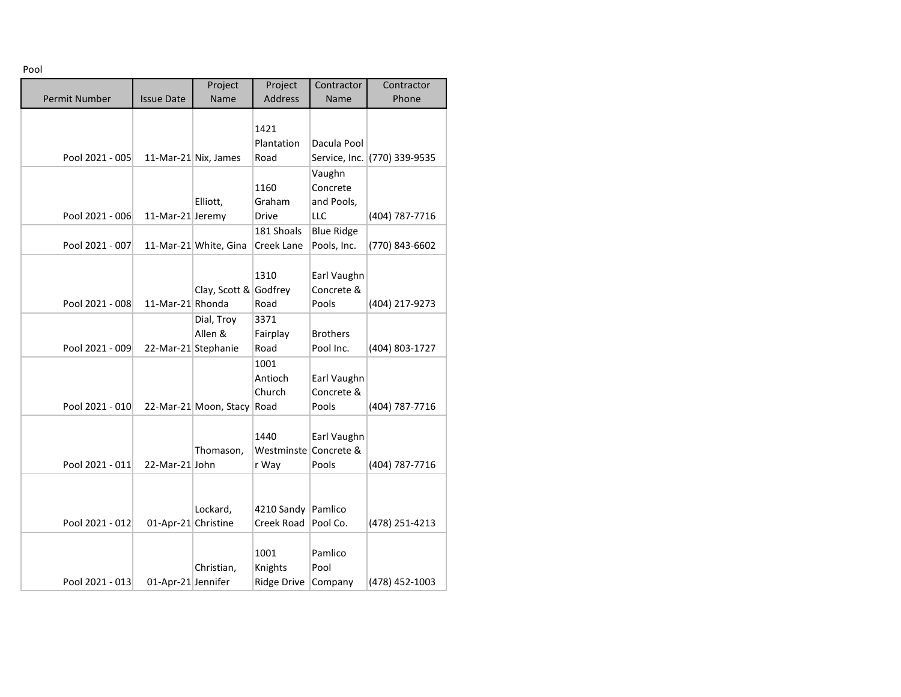Pool

|                      |                     | Project                    | Project               | Contractor        | Contractor                   |
|----------------------|---------------------|----------------------------|-----------------------|-------------------|------------------------------|
| <b>Permit Number</b> | <b>Issue Date</b>   | Name                       | <b>Address</b>        | Name              | Phone                        |
|                      |                     |                            |                       |                   |                              |
|                      |                     |                            | 1421                  |                   |                              |
|                      |                     |                            | Plantation            | Dacula Pool       |                              |
| Pool 2021 - 005      |                     | 11-Mar-21 Nix, James       | Road                  |                   | Service, Inc. (770) 339-9535 |
|                      |                     |                            |                       | Vaughn            |                              |
|                      |                     |                            | 1160                  | Concrete          |                              |
|                      |                     | Elliott,                   | Graham                | and Pools,        |                              |
| Pool 2021 - 006      | 11-Mar-21 Jeremy    |                            | <b>Drive</b>          | LLC               | (404) 787-7716               |
|                      |                     |                            | 181 Shoals            | <b>Blue Ridge</b> |                              |
| Pool 2021 - 007      |                     | 11-Mar-21 White, Gina      | Creek Lane            | Pools, Inc.       | (770) 843-6602               |
|                      |                     |                            |                       |                   |                              |
|                      |                     |                            | 1310                  | Earl Vaughn       |                              |
|                      |                     | Clay, Scott & Godfrey      |                       | Concrete &        |                              |
| Pool 2021 - 008      | 11-Mar-21 Rhonda    |                            | Road                  | Pools             | (404) 217-9273               |
|                      |                     | Dial, Troy                 | 3371                  |                   |                              |
|                      |                     | Allen &                    | Fairplay              | <b>Brothers</b>   |                              |
| Pool 2021 - 009      | 22-Mar-21 Stephanie |                            | Road                  | Pool Inc.         | (404) 803-1727               |
|                      |                     |                            | 1001                  |                   |                              |
|                      |                     |                            | Antioch               | Earl Vaughn       |                              |
|                      |                     |                            | Church                | Concrete &        |                              |
| Pool 2021 - 010      |                     | 22-Mar-21 Moon, Stacy Road |                       | Pools             | (404) 787-7716               |
|                      |                     |                            |                       |                   |                              |
|                      |                     |                            | 1440                  | Earl Vaughn       |                              |
|                      |                     | Thomason,                  | Westminste Concrete & |                   |                              |
| Pool 2021 - 011      | 22-Mar-21 John      |                            | r Way                 | Pools             | (404) 787-7716               |
|                      |                     |                            |                       |                   |                              |
|                      |                     |                            |                       |                   |                              |
|                      |                     | Lockard,                   | 4210 Sandy Pamlico    |                   |                              |
| Pool 2021 - 012      | 01-Apr-21 Christine |                            | Creek Road            | Pool Co.          | (478) 251-4213               |
|                      |                     |                            |                       |                   |                              |
|                      |                     |                            | 1001                  | Pamlico           |                              |
|                      |                     | Christian,                 | Knights               | Pool              |                              |
| Pool 2021 - 013      | 01-Apr-21 Jennifer  |                            | <b>Ridge Drive</b>    | Company           | (478) 452-1003               |